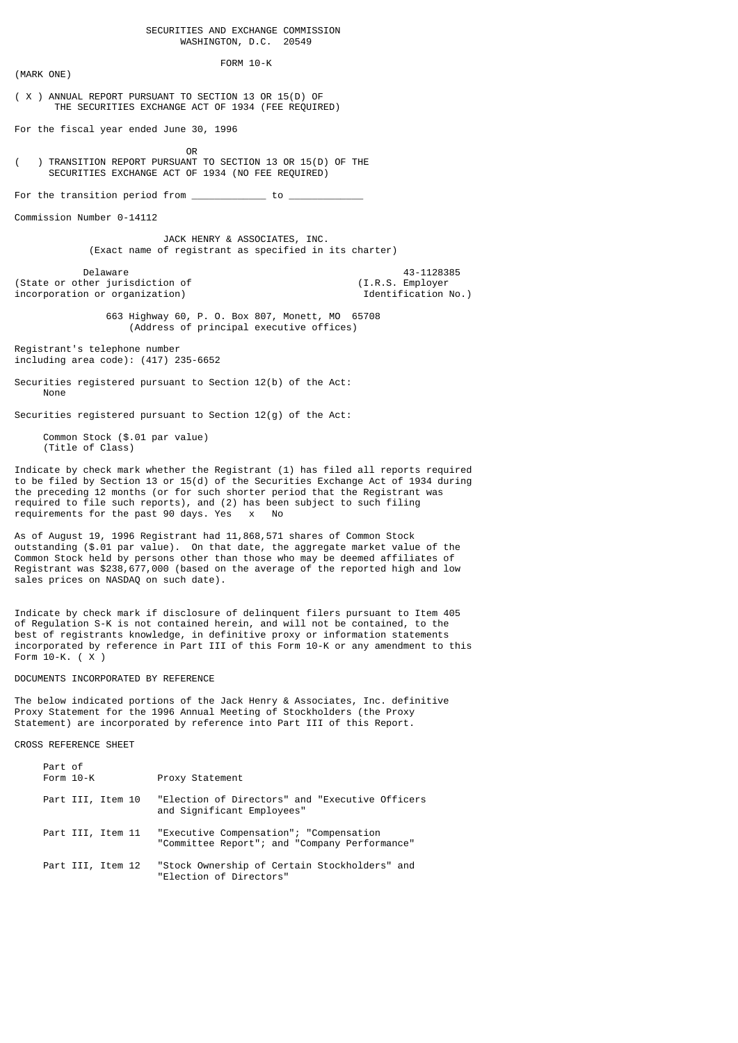|  |  |                        | SECURITIES AND EXCHANGE COMMISSION |
|--|--|------------------------|------------------------------------|
|  |  | WASHINGTON, D.C. 20549 |                                    |



Indicate by check mark if disclosure of delinquent filers pursuant to Item 405 of Regulation S-K is not contained herein, and will not be contained, to the best of registrants knowledge, in definitive proxy or information statements incorporated by reference in Part III of this Form 10-K or any amendment to this Form 10-K. ( X )

# DOCUMENTS INCORPORATED BY REFERENCE

The below indicated portions of the Jack Henry & Associates, Inc. definitive Proxy Statement for the 1996 Annual Meeting of Stockholders (the Proxy Statement) are incorporated by reference into Part III of this Report.

CROSS REFERENCE SHEET

| Part of<br>Form 10-K | Proxy Statement                                                                          |
|----------------------|------------------------------------------------------------------------------------------|
| Part III, Item 10    | "Election of Directors" and "Executive Officers"<br>and Significant Employees"           |
| Part III, Item 11    | "Executive Compensation"; "Compensation<br>"Committee Report"; and "Company Performance" |
| Part III, Item 12    | "Stock Ownership of Certain Stockholders" and<br>"Flection of Directors"                 |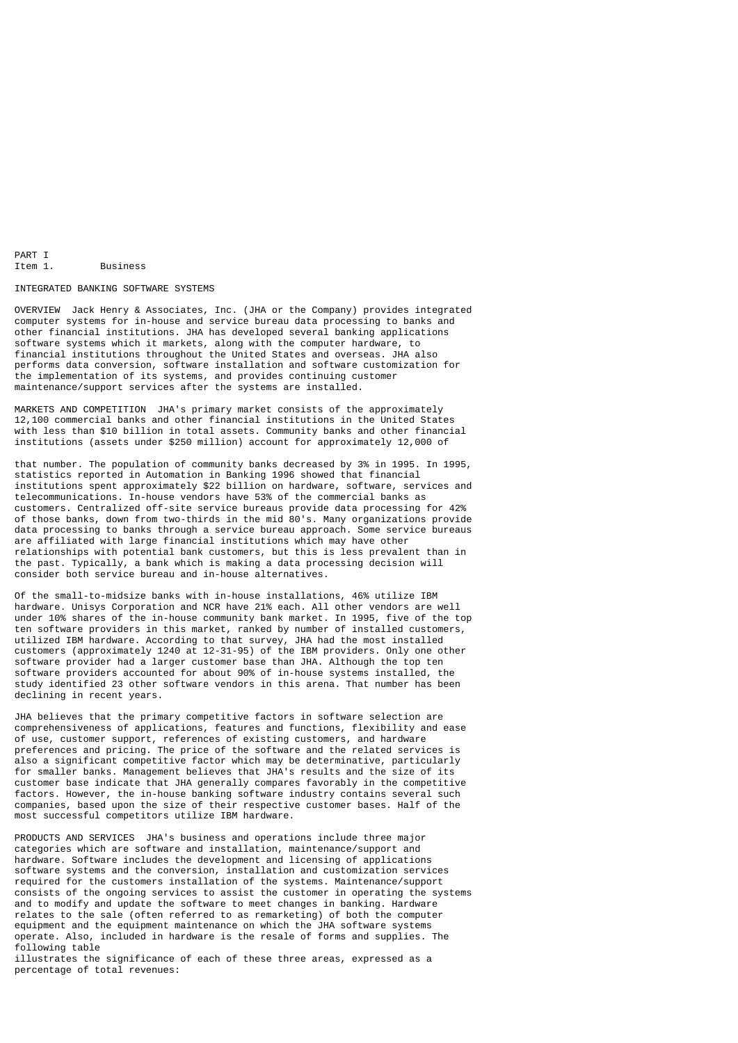PART I<br>Item 1. **Business** 

INTEGRATED BANKING SOFTWARE SYSTEMS

OVERVIEW Jack Henry & Associates, Inc. (JHA or the Company) provides integrated computer systems for in-house and service bureau data processing to banks and other financial institutions. JHA has developed several banking applications software systems which it markets, along with the computer hardware, to financial institutions throughout the United States and overseas. JHA also performs data conversion, software installation and software customization for the implementation of its systems, and provides continuing customer maintenance/support services after the systems are installed.

MARKETS AND COMPETITION JHA's primary market consists of the approximately 12,100 commercial banks and other financial institutions in the United States with less than \$10 billion in total assets. Community banks and other financial institutions (assets under \$250 million) account for approximately 12,000 of

that number. The population of community banks decreased by 3% in 1995. In 1995, statistics reported in Automation in Banking 1996 showed that financial institutions spent approximately \$22 billion on hardware, software, services and telecommunications. In-house vendors have 53% of the commercial banks as customers. Centralized off-site service bureaus provide data processing for 42% of those banks, down from two-thirds in the mid 80's. Many organizations provide data processing to banks through a service bureau approach. Some service bureaus are affiliated with large financial institutions which may have other relationships with potential bank customers, but this is less prevalent than in the past. Typically, a bank which is making a data processing decision will consider both service bureau and in-house alternatives.

Of the small-to-midsize banks with in-house installations, 46% utilize IBM hardware. Unisys Corporation and NCR have 21% each. All other vendors are well under 10% shares of the in-house community bank market. In 1995, five of the top ten software providers in this market, ranked by number of installed customers, utilized IBM hardware. According to that survey, JHA had the most installed customers (approximately 1240 at 12-31-95) of the IBM providers. Only one other software provider had a larger customer base than JHA. Although the top ten software providers accounted for about 90% of in-house systems installed, the study identified 23 other software vendors in this arena. That number has been declining in recent years.

JHA believes that the primary competitive factors in software selection are comprehensiveness of applications, features and functions, flexibility and ease of use, customer support, references of existing customers, and hardware preferences and pricing. The price of the software and the related services is also a significant competitive factor which may be determinative, particularly for smaller banks. Management believes that JHA's results and the size of its customer base indicate that JHA generally compares favorably in the competitive factors. However, the in-house banking software industry contains several such companies, based upon the size of their respective customer bases. Half of the most successful competitors utilize IBM hardware.

PRODUCTS AND SERVICES JHA's business and operations include three major categories which are software and installation, maintenance/support and hardware. Software includes the development and licensing of applications software systems and the conversion, installation and customization services required for the customers installation of the systems. Maintenance/support consists of the ongoing services to assist the customer in operating the systems and to modify and update the software to meet changes in banking. Hardware relates to the sale (often referred to as remarketing) of both the computer equipment and the equipment maintenance on which the JHA software systems operate. Also, included in hardware is the resale of forms and supplies. The following table

illustrates the significance of each of these three areas, expressed as a percentage of total revenues: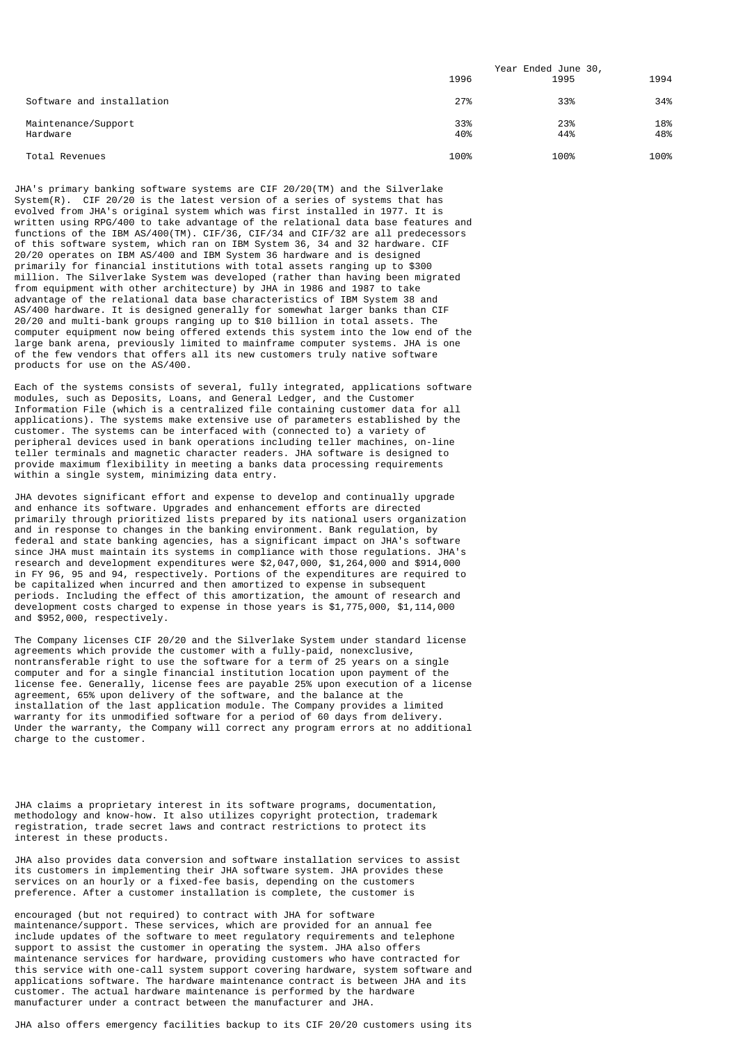|                                 | Year Ended June 30, |            |            |  |
|---------------------------------|---------------------|------------|------------|--|
|                                 | 1996                | 1995       | 1994       |  |
| Software and installation       | 27%                 | 33%        | 34%        |  |
| Maintenance/Support<br>Hardware | 33%<br>40%          | 23%<br>44% | 18%<br>48% |  |
| Total Revenues                  | 100%                | 100%       | 100%       |  |

JHA's primary banking software systems are CIF 20/20(TM) and the Silverlake System(R). CIF 20/20 is the latest version of a series of systems that has evolved from JHA's original system which was first installed in 1977. It is written using RPG/400 to take advantage of the relational data base features and functions of the IBM AS/400(TM). CIF/36, CIF/34 and CIF/32 are all predecessors of this software system, which ran on IBM System 36, 34 and 32 hardware. CIF 20/20 operates on IBM AS/400 and IBM System 36 hardware and is designed primarily for financial institutions with total assets ranging up to \$300 million. The Silverlake System was developed (rather than having been migrated from equipment with other architecture) by JHA in 1986 and 1987 to take advantage of the relational data base characteristics of IBM System 38 and AS/400 hardware. It is designed generally for somewhat larger banks than CIF 20/20 and multi-bank groups ranging up to \$10 billion in total assets. The computer equipment now being offered extends this system into the low end of the large bank arena, previously limited to mainframe computer systems. JHA is one of the few vendors that offers all its new customers truly native software products for use on the AS/400.

Each of the systems consists of several, fully integrated, applications software modules, such as Deposits, Loans, and General Ledger, and the Customer Information File (which is a centralized file containing customer data for all applications). The systems make extensive use of parameters established by the customer. The systems can be interfaced with (connected to) a variety of peripheral devices used in bank operations including teller machines, on-line teller terminals and magnetic character readers. JHA software is designed to provide maximum flexibility in meeting a banks data processing requirements within a single system, minimizing data entry.

JHA devotes significant effort and expense to develop and continually upgrade and enhance its software. Upgrades and enhancement efforts are directed primarily through prioritized lists prepared by its national users organization and in response to changes in the banking environment. Bank regulation, by federal and state banking agencies, has a significant impact on JHA's software since JHA must maintain its systems in compliance with those regulations. JHA's research and development expenditures were \$2,047,000, \$1,264,000 and \$914,000 in FY 96, 95 and 94, respectively. Portions of the expenditures are required to be capitalized when incurred and then amortized to expense in subsequent periods. Including the effect of this amortization, the amount of research and development costs charged to expense in those years is \$1,775,000, \$1,114,000 and \$952,000, respectively.

The Company licenses CIF 20/20 and the Silverlake System under standard license agreements which provide the customer with a fully-paid, nonexclusive, nontransferable right to use the software for a term of 25 years on a single computer and for a single financial institution location upon payment of the license fee. Generally, license fees are payable 25% upon execution of a license agreement, 65% upon delivery of the software, and the balance at the installation of the last application module. The Company provides a limited warranty for its unmodified software for a period of 60 days from delivery. Under the warranty, the Company will correct any program errors at no additional charge to the customer.

JHA claims a proprietary interest in its software programs, documentation, methodology and know-how. It also utilizes copyright protection, trademark registration, trade secret laws and contract restrictions to protect its interest in these products.

JHA also provides data conversion and software installation services to assist its customers in implementing their JHA software system. JHA provides these services on an hourly or a fixed-fee basis, depending on the customers preference. After a customer installation is complete, the customer is

encouraged (but not required) to contract with JHA for software maintenance/support. These services, which are provided for an annual fee include updates of the software to meet regulatory requirements and telephone support to assist the customer in operating the system. JHA also offers maintenance services for hardware, providing customers who have contracted for this service with one-call system support covering hardware, system software and applications software. The hardware maintenance contract is between JHA and its customer. The actual hardware maintenance is performed by the hardware manufacturer under a contract between the manufacturer and JHA.

JHA also offers emergency facilities backup to its CIF 20/20 customers using its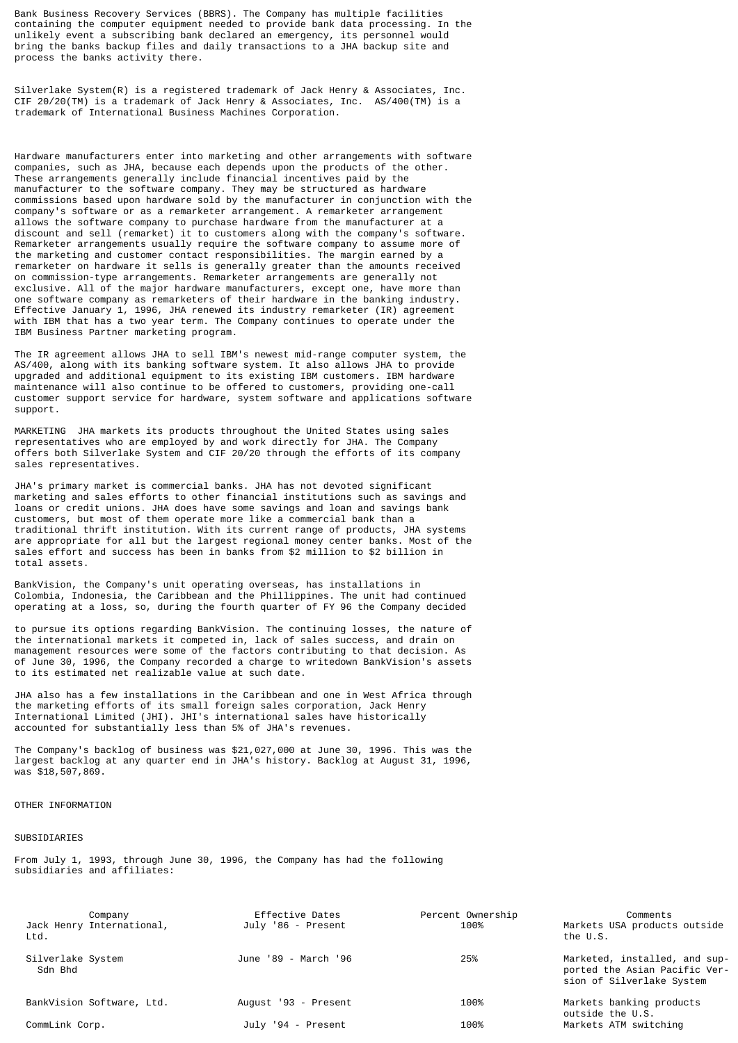Bank Business Recovery Services (BBRS). The Company has multiple facilities containing the computer equipment needed to provide bank data processing. In the unlikely event a subscribing bank declared an emergency, its personnel would bring the banks backup files and daily transactions to a JHA backup site and process the banks activity there.

Silverlake System(R) is a registered trademark of Jack Henry & Associates, Inc. CIF 20/20(TM) is a trademark of Jack Henry & Associates, Inc. AS/400(TM) is a trademark of International Business Machines Corporation.

Hardware manufacturers enter into marketing and other arrangements with software companies, such as JHA, because each depends upon the products of the other. These arrangements generally include financial incentives paid by the manufacturer to the software company. They may be structured as hardware commissions based upon hardware sold by the manufacturer in conjunction with the company's software or as a remarketer arrangement. A remarketer arrangement allows the software company to purchase hardware from the manufacturer at a discount and sell (remarket) it to customers along with the company's software. Remarketer arrangements usually require the software company to assume more of the marketing and customer contact responsibilities. The margin earned by a remarketer on hardware it sells is generally greater than the amounts received on commission-type arrangements. Remarketer arrangements are generally not exclusive. All of the major hardware manufacturers, except one, have more than one software company as remarketers of their hardware in the banking industry. Effective January 1, 1996, JHA renewed its industry remarketer (IR) agreement with IBM that has a two year term. The Company continues to operate under the IBM Business Partner marketing program.

The IR agreement allows JHA to sell IBM's newest mid-range computer system, the AS/400, along with its banking software system. It also allows JHA to provide upgraded and additional equipment to its existing IBM customers. IBM hardware maintenance will also continue to be offered to customers, providing one-call customer support service for hardware, system software and applications software support.

MARKETING JHA markets its products throughout the United States using sales representatives who are employed by and work directly for JHA. The Company offers both Silverlake System and CIF 20/20 through the efforts of its company sales representatives.

JHA's primary market is commercial banks. JHA has not devoted significant marketing and sales efforts to other financial institutions such as savings and loans or credit unions. JHA does have some savings and loan and savings bank customers, but most of them operate more like a commercial bank than a traditional thrift institution. With its current range of products, JHA systems are appropriate for all but the largest regional money center banks. Most of the sales effort and success has been in banks from \$2 million to \$2 billion in total assets.

BankVision, the Company's unit operating overseas, has installations in Colombia, Indonesia, the Caribbean and the Phillippines. The unit had continued operating at a loss, so, during the fourth quarter of FY 96 the Company decided

to pursue its options regarding BankVision. The continuing losses, the nature of the international markets it competed in, lack of sales success, and drain on management resources were some of the factors contributing to that decision. As of June 30, 1996, the Company recorded a charge to writedown BankVision's assets to its estimated net realizable value at such date.

JHA also has a few installations in the Caribbean and one in West Africa through the marketing efforts of its small foreign sales corporation, Jack Henry International Limited (JHI). JHI's international sales have historically accounted for substantially less than 5% of JHA's revenues.

The Company's backlog of business was \$21,027,000 at June 30, 1996. This was the largest backlog at any quarter end in JHA's history. Backlog at August 31, 1996, was \$18,507,869.

# OTHER INFORMATION

# SUBSIDIARIES

From July 1, 1993, through June 30, 1996, the Company has had the following subsidiaries and affiliates:

| Company<br>Jack Henry International,<br>Ltd. | Effective Dates<br>July '86 - Present | Percent Ownership<br>100% | Comments<br>Markets USA products outside<br>the U.S.                                        |
|----------------------------------------------|---------------------------------------|---------------------------|---------------------------------------------------------------------------------------------|
| Silverlake System<br>Sdn Bhd                 | June '89 - March '96                  | 25%                       | Marketed, installed, and sup-<br>ported the Asian Pacific Ver-<br>sion of Silverlake System |
| BankVision Software, Ltd.                    | August '93 - Present                  | 100%                      | Markets banking products<br>outside the U.S.                                                |
| CommLink Corp.                               | July '94 - Present                    | 100%                      | Markets ATM switching                                                                       |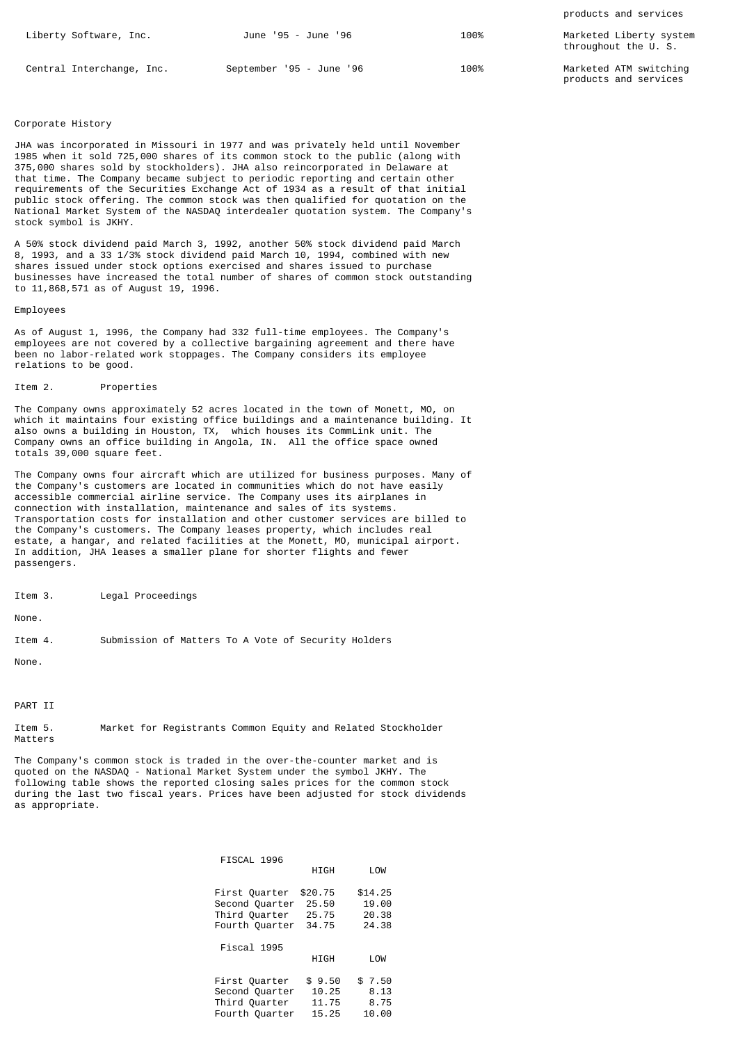| Liberty Software, Inc.    | June '95 - June '96      | 100% | Marketed Liberty syste<br>throughout the U.S. |
|---------------------------|--------------------------|------|-----------------------------------------------|
| Central Interchange, Inc. | September '95 - June '96 | 100% | Marketed ATM switching                        |

# products and services

products and services

# Corporate History

JHA was incorporated in Missouri in 1977 and was privately held until November 1985 when it sold 725,000 shares of its common stock to the public (along with 375,000 shares sold by stockholders). JHA also reincorporated in Delaware at that time. The Company became subject to periodic reporting and certain other requirements of the Securities Exchange Act of 1934 as a result of that initial public stock offering. The common stock was then qualified for quotation on the National Market System of the NASDAQ interdealer quotation system. The Company's stock symbol is JKHY.

A 50% stock dividend paid March 3, 1992, another 50% stock dividend paid March 8, 1993, and a 33 1/3% stock dividend paid March 10, 1994, combined with new shares issued under stock options exercised and shares issued to purchase businesses have increased the total number of shares of common stock outstanding to 11,868,571 as of August 19, 1996.

#### Employees

As of August 1, 1996, the Company had 332 full-time employees. The Company's employees are not covered by a collective bargaining agreement and there have been no labor-related work stoppages. The Company considers its employee relations to be good.

# Item 2. Properties

The Company owns approximately 52 acres located in the town of Monett, MO, on which it maintains four existing office buildings and a maintenance building. It also owns a building in Houston, TX, which houses its CommLink unit. The Company owns an office building in Angola, IN. All the office space owned totals 39,000 square feet.

The Company owns four aircraft which are utilized for business purposes. Many of the Company's customers are located in communities which do not have easily accessible commercial airline service. The Company uses its airplanes in connection with installation, maintenance and sales of its systems. Transportation costs for installation and other customer services are billed to the Company's customers. The Company leases property, which includes real estate, a hangar, and related facilities at the Monett, MO, municipal airport. In addition, JHA leases a smaller plane for shorter flights and fewer passengers.

Item 3. Legal Proceedings

None.

Item 4. Submission of Matters To A Vote of Security Holders

None.

## PART II

#### Item 5. Market for Registrants Common Equity and Related Stockholder Matters

The Company's common stock is traded in the over-the-counter market and is quoted on the NASDAQ - National Market System under the symbol JKHY. The following table shows the reported closing sales prices for the common stock during the last two fiscal years. Prices have been adjusted for stock dividends as appropriate.

| FISCAL 1996    |         |         |
|----------------|---------|---------|
|                | HIGH    | LOW     |
| First Quarter  | \$20.75 | \$14.25 |
| Second Quarter | 25.50   | 19.00   |
| Third Quarter  | 25.75   | 20.38   |
| Fourth Quarter | 34.75   | 24.38   |
| Fiscal 1995    |         |         |
|                | HIGH    | LOW     |
| First Quarter  | \$9.50  | \$7.50  |
| Second Quarter | 10.25   | 8.13    |
| Third Quarter  | 11.75   | 8.75    |
| Fourth Quarter | 15.25   | 10.00   |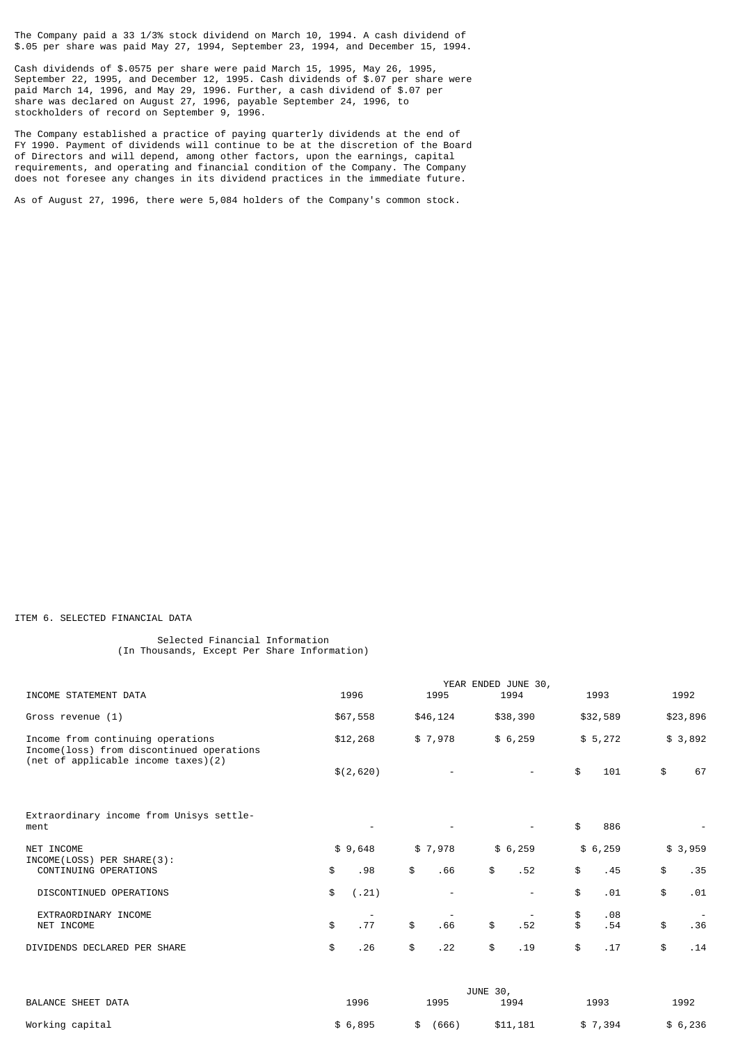The Company paid a 33 1/3% stock dividend on March 10, 1994. A cash dividend of \$.05 per share was paid May 27, 1994, September 23, 1994, and December 15, 1994.

Cash dividends of \$.0575 per share were paid March 15, 1995, May 26, 1995, September 22, 1995, and December 12, 1995. Cash dividends of \$.07 per share were paid March 14, 1996, and May 29, 1996. Further, a cash dividend of \$.07 per share was declared on August 27, 1996, payable September 24, 1996, to stockholders of record on September 9, 1996.

The Company established a practice of paying quarterly dividends at the end of FY 1990. Payment of dividends will continue to be at the discretion of the Board of Directors and will depend, among other factors, upon the earnings, capital requirements, and operating and financial condition of the Company. The Company does not foresee any changes in its dividend practices in the immediate future.

As of August 27, 1996, there were 5,084 holders of the Company's common stock.

## ITEM 6. SELECTED FINANCIAL DATA

## Selected Financial Information (In Thousands, Except Per Share Information)

|                                                                                                                       |             |                          | YEAR ENDED JUNE 30,      |                        |           |
|-----------------------------------------------------------------------------------------------------------------------|-------------|--------------------------|--------------------------|------------------------|-----------|
| INCOME STATEMENT DATA                                                                                                 | 1996        | 1995                     | 1994                     | 1993                   | 1992      |
| Gross revenue (1)                                                                                                     | \$67,558    | \$46,124                 | \$38,390                 | \$32,589               | \$23,896  |
| Income from continuing operations<br>Income(loss) from discontinued operations<br>(net of applicable income taxes)(2) | \$12,268    | \$7,978                  | \$6,259                  | \$5,272                | \$3,892   |
|                                                                                                                       | \$(2,620)   |                          | $\overline{\phantom{a}}$ | \$<br>101              | \$<br>67  |
| Extraordinary income from Unisys settle-<br>ment                                                                      |             |                          |                          | \$<br>886              |           |
| NET INCOME<br>INCOME(LOSS) PER SHARE(3):                                                                              | \$9,648     | \$7,978                  | \$6,259                  | \$6,259                | \$3,959   |
| CONTINUING OPERATIONS                                                                                                 | \$<br>.98   | \$<br>.66                | \$<br>.52                | \$<br>.45              | \$<br>.35 |
| DISCONTINUED OPERATIONS                                                                                               | \$<br>(.21) | $\overline{\phantom{a}}$ | $\overline{\phantom{a}}$ | \$<br>.01              | \$<br>.01 |
| EXTRAORDINARY INCOME<br>NET INCOME                                                                                    | \$<br>.77   | \$<br>.66                | \$<br>.52                | .08<br>\$<br>\$<br>.54 | \$<br>.36 |
| DIVIDENDS DECLARED PER SHARE                                                                                          | \$<br>.26   | \$<br>.22                | \$<br>.19                | \$<br>.17              | \$<br>.14 |

|                    | JUNE 30, |             |          |         |         |  |
|--------------------|----------|-------------|----------|---------|---------|--|
| BALANCE SHEET DATA | 1996     | 1995        | 1994     | 1993    | 1992    |  |
| Working capital    | \$6,895  | (666)<br>\$ | \$11,181 | \$7.394 | \$6,236 |  |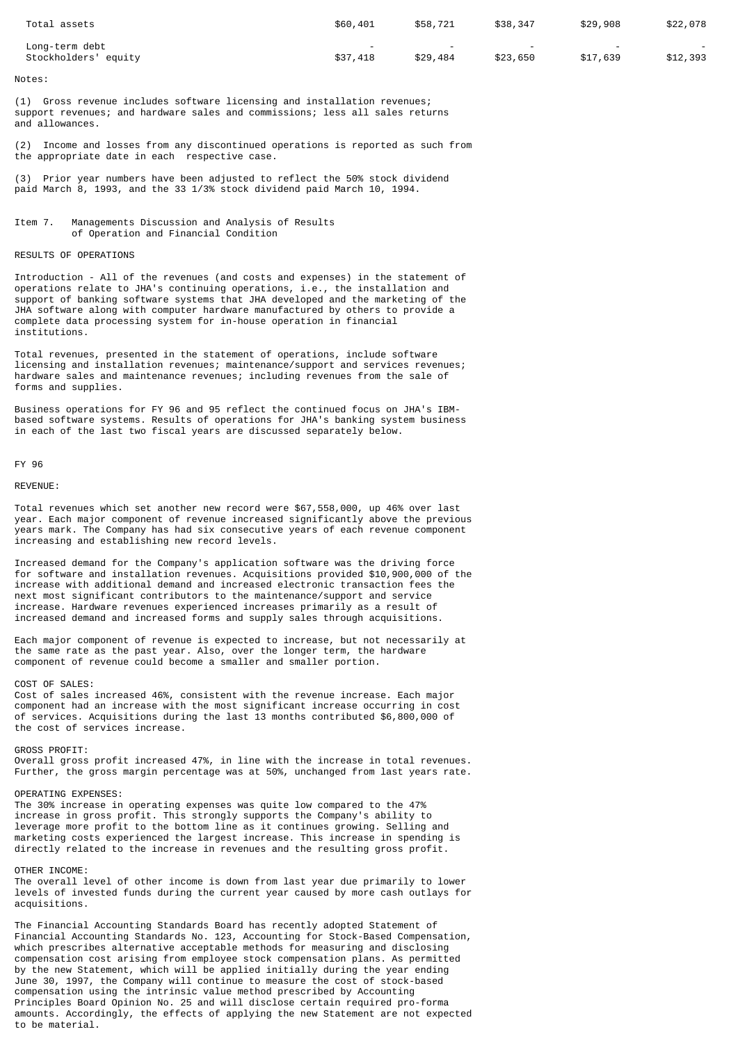| Total assets                           | \$60,401 | \$58,721 | \$38,347                             | \$29,908                             | \$22,078 |
|----------------------------------------|----------|----------|--------------------------------------|--------------------------------------|----------|
| Long-term debt<br>Stockholders' equity | \$37,418 | \$29,484 | $\overline{\phantom{0}}$<br>\$23,650 | $\overline{\phantom{0}}$<br>\$17,639 | \$12,393 |

## Notes:

(1) Gross revenue includes software licensing and installation revenues; support revenues; and hardware sales and commissions; less all sales returns and allowances.

(2) Income and losses from any discontinued operations is reported as such from the appropriate date in each respective case.

(3) Prior year numbers have been adjusted to reflect the 50% stock dividend paid March 8, 1993, and the 33 1/3% stock dividend paid March 10, 1994.

Item 7. Managements Discussion and Analysis of Results of Operation and Financial Condition

# RESULTS OF OPERATIONS

Introduction - All of the revenues (and costs and expenses) in the statement of operations relate to JHA's continuing operations, i.e., the installation and support of banking software systems that JHA developed and the marketing of the JHA software along with computer hardware manufactured by others to provide a complete data processing system for in-house operation in financial institutions.

Total revenues, presented in the statement of operations, include software licensing and installation revenues; maintenance/support and services revenues; hardware sales and maintenance revenues; including revenues from the sale of forms and supplies.

Business operations for FY 96 and 95 reflect the continued focus on JHA's IBMbased software systems. Results of operations for JHA's banking system business in each of the last two fiscal years are discussed separately below.

#### FY 96

REVENUE:

Total revenues which set another new record were \$67,558,000, up 46% over last year. Each major component of revenue increased significantly above the previous years mark. The Company has had six consecutive years of each revenue component increasing and establishing new record levels.

Increased demand for the Company's application software was the driving force for software and installation revenues. Acquisitions provided \$10,900,000 of the increase with additional demand and increased electronic transaction fees the next most significant contributors to the maintenance/support and service increase. Hardware revenues experienced increases primarily as a result of increased demand and increased forms and supply sales through acquisitions.

Each major component of revenue is expected to increase, but not necessarily at the same rate as the past year. Also, over the longer term, the hardware component of revenue could become a smaller and smaller portion.

## COST OF SALES:

Cost of sales increased 46%, consistent with the revenue increase. Each major component had an increase with the most significant increase occurring in cost of services. Acquisitions during the last 13 months contributed \$6,800,000 of the cost of services increase.

GROSS PROFIT: Overall gross profit increased 47%, in line with the increase in total revenues. Further, the gross margin percentage was at 50%, unchanged from last years rate.

#### OPERATING EXPENSES:

The 30% increase in operating expenses was quite low compared to the 47% increase in gross profit. This strongly supports the Company's ability to leverage more profit to the bottom line as it continues growing. Selling and marketing costs experienced the largest increase. This increase in spending is directly related to the increase in revenues and the resulting gross profit.

#### OTHER INCOME:

The overall level of other income is down from last year due primarily to lower levels of invested funds during the current year caused by more cash outlays for acquisitions.

The Financial Accounting Standards Board has recently adopted Statement of Financial Accounting Standards No. 123, Accounting for Stock-Based Compensation, which prescribes alternative acceptable methods for measuring and disclosing compensation cost arising from employee stock compensation plans. As permitted by the new Statement, which will be applied initially during the year ending June 30, 1997, the Company will continue to measure the cost of stock-based compensation using the intrinsic value method prescribed by Accounting Principles Board Opinion No. 25 and will disclose certain required pro-forma amounts. Accordingly, the effects of applying the new Statement are not expected to be material.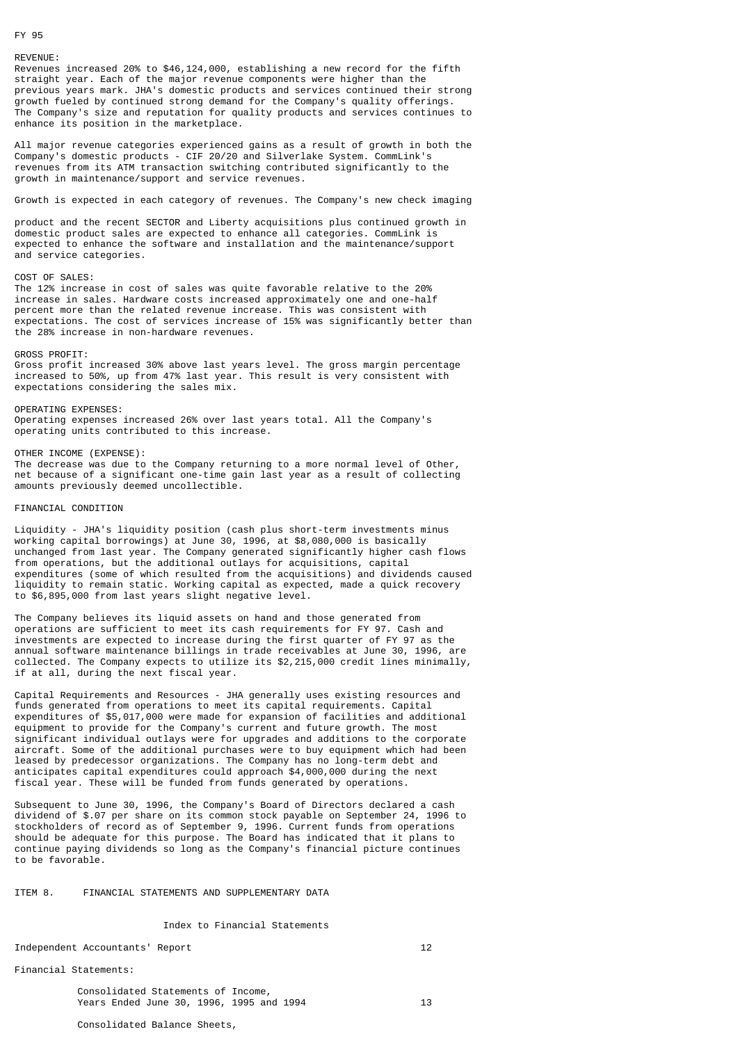# FY 95 REVENUE:

Revenues increased 20% to \$46,124,000, establishing a new record for the fifth straight year. Each of the major revenue components were higher than the previous years mark. JHA's domestic products and services continued their strong growth fueled by continued strong demand for the Company's quality offerings. The Company's size and reputation for quality products and services continues to enhance its position in the marketplace.

All major revenue categories experienced gains as a result of growth in both the Company's domestic products - CIF 20/20 and Silverlake System. CommLink's revenues from its ATM transaction switching contributed significantly to the growth in maintenance/support and service revenues.

Growth is expected in each category of revenues. The Company's new check imaging

product and the recent SECTOR and Liberty acquisitions plus continued growth in domestic product sales are expected to enhance all categories. CommLink is expected to enhance the software and installation and the maintenance/support and service categories.

## COST OF SALES:

The 12% increase in cost of sales was quite favorable relative to the 20% increase in sales. Hardware costs increased approximately one and one-half percent more than the related revenue increase. This was consistent with expectations. The cost of services increase of 15% was significantly better than the 28% increase in non-hardware revenues.

GROSS PROFIT:

Gross profit increased 30% above last years level. The gross margin percentage increased to 50%, up from 47% last year. This result is very consistent with expectations considering the sales mix.

#### OPERATING EXPENSES:

Operating expenses increased 26% over last years total. All the Company's operating units contributed to this increase.

## OTHER INCOME (EXPENSE):

The decrease was due to the Company returning to a more normal level of Other, net because of a significant one-time gain last year as a result of collecting amounts previously deemed uncollectible.

# FINANCIAL CONDITION

Liquidity - JHA's liquidity position (cash plus short-term investments minus working capital borrowings) at June 30, 1996, at \$8,080,000 is basically unchanged from last year. The Company generated significantly higher cash flows from operations, but the additional outlays for acquisitions, capital expenditures (some of which resulted from the acquisitions) and dividends caused liquidity to remain static. Working capital as expected, made a quick recovery to \$6,895,000 from last years slight negative level.

The Company believes its liquid assets on hand and those generated from operations are sufficient to meet its cash requirements for FY 97. Cash and investments are expected to increase during the first quarter of FY 97 as the annual software maintenance billings in trade receivables at June 30, 1996, are collected. The Company expects to utilize its \$2,215,000 credit lines minimally, if at all, during the next fiscal year.

Capital Requirements and Resources - JHA generally uses existing resources and funds generated from operations to meet its capital requirements. Capital expenditures of \$5,017,000 were made for expansion of facilities and additional equipment to provide for the Company's current and future growth. The most significant individual outlays were for upgrades and additions to the corporate aircraft. Some of the additional purchases were to buy equipment which had been leased by predecessor organizations. The Company has no long-term debt and anticipates capital expenditures could approach \$4,000,000 during the next fiscal year. These will be funded from funds generated by operations.

Subsequent to June 30, 1996, the Company's Board of Directors declared a cash dividend of \$.07 per share on its common stock payable on September 24, 1996 to stockholders of record as of September 9, 1996. Current funds from operations should be adequate for this purpose. The Board has indicated that it plans to continue paying dividends so long as the Company's financial picture continues to be favorable.

## ITEM 8. FINANCIAL STATEMENTS AND SUPPLEMENTARY DATA

#### Index to Financial Statements

Independent Accountants' Report 12

Financial Statements:

 Consolidated Statements of Income, Years Ended June 30, 1996, 1995 and 1994 13

Consolidated Balance Sheets,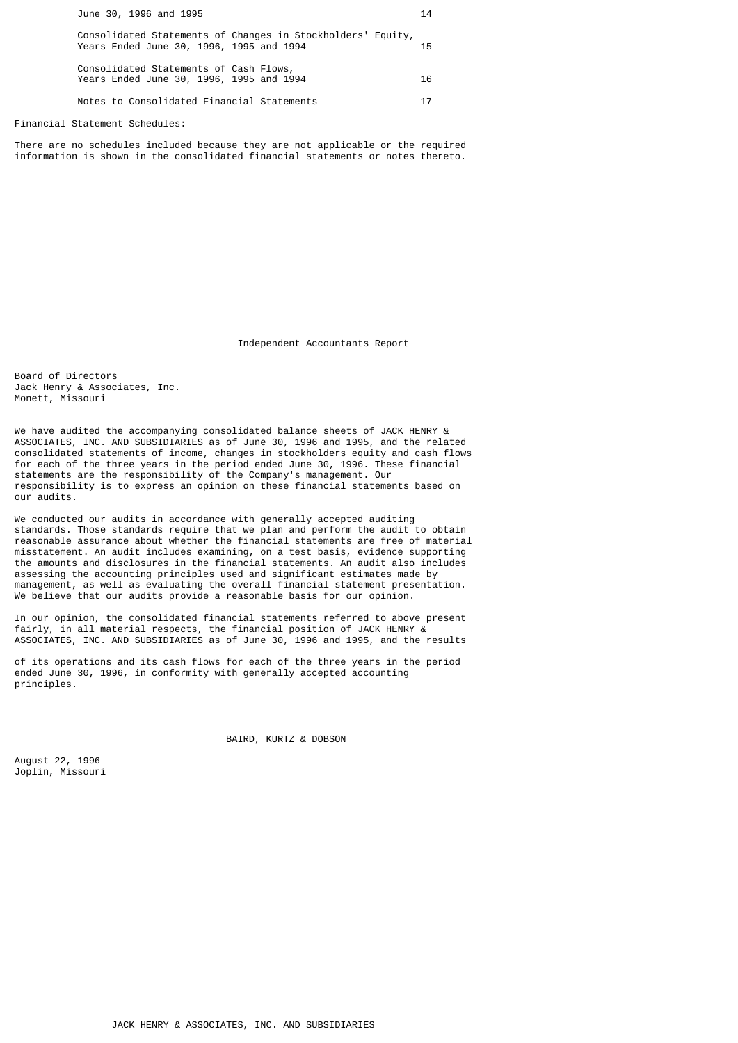| June 30, 1996 and 1995                                                                                  | 14 |
|---------------------------------------------------------------------------------------------------------|----|
| Consolidated Statements of Changes in Stockholders' Equity,<br>Years Ended June 30, 1996, 1995 and 1994 | 15 |
| Consolidated Statements of Cash Flows,<br>Years Ended June 30, 1996, 1995 and 1994                      | 16 |
| Notes to Consolidated Financial Statements                                                              | 17 |

Financial Statement Schedules:

There are no schedules included because they are not applicable or the required information is shown in the consolidated financial statements or notes thereto.

Independent Accountants Report

Board of Directors Jack Henry & Associates, Inc. Monett, Missouri

We have audited the accompanying consolidated balance sheets of JACK HENRY & ASSOCIATES, INC. AND SUBSIDIARIES as of June 30, 1996 and 1995, and the related consolidated statements of income, changes in stockholders equity and cash flows for each of the three years in the period ended June 30, 1996. These financial statements are the responsibility of the Company's management. Our responsibility is to express an opinion on these financial statements based on our audits.

We conducted our audits in accordance with generally accepted auditing standards. Those standards require that we plan and perform the audit to obtain reasonable assurance about whether the financial statements are free of material misstatement. An audit includes examining, on a test basis, evidence supporting the amounts and disclosures in the financial statements. An audit also includes assessing the accounting principles used and significant estimates made by management, as well as evaluating the overall financial statement presentation. We believe that our audits provide a reasonable basis for our opinion.

In our opinion, the consolidated financial statements referred to above present fairly, in all material respects, the financial position of JACK HENRY & ASSOCIATES, INC. AND SUBSIDIARIES as of June 30, 1996 and 1995, and the results

of its operations and its cash flows for each of the three years in the period ended June 30, 1996, in conformity with generally accepted accounting principles.

BAIRD, KURTZ & DOBSON

August 22, 1996 Joplin, Missouri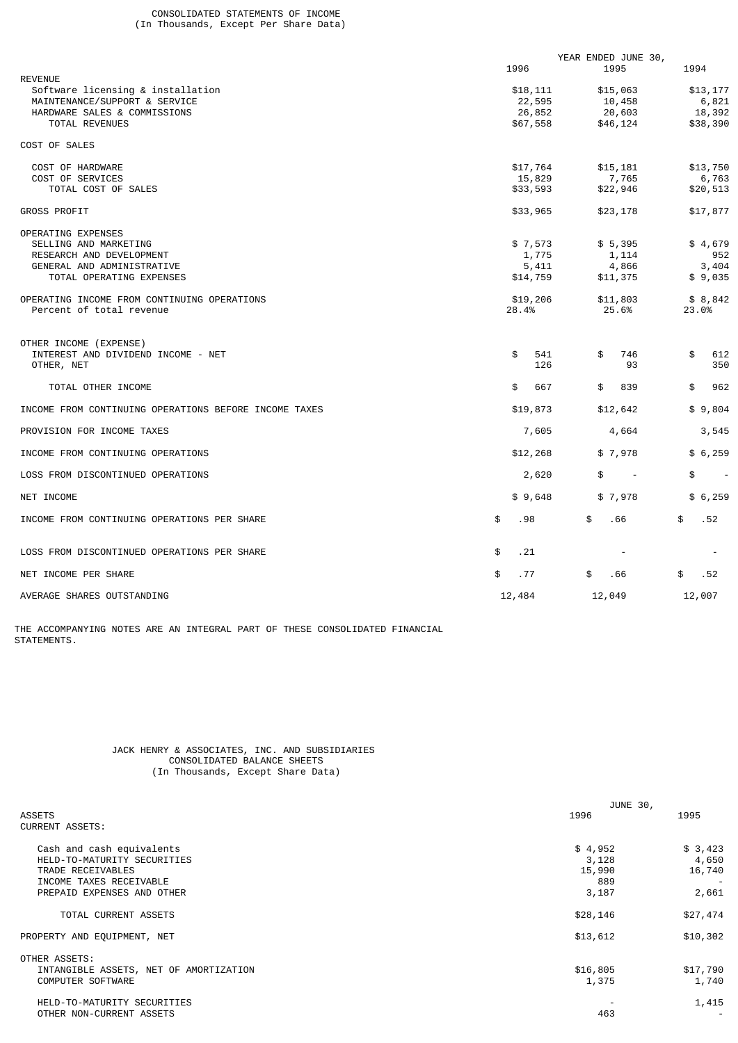|                                                       |                    | YEAR ENDED JUNE 30,            |                    |
|-------------------------------------------------------|--------------------|--------------------------------|--------------------|
|                                                       | 1996               | 1995                           | 1994               |
| <b>REVENUE</b><br>Software licensing & installation   | \$18,111           | \$15,063                       | \$13, 177          |
| MAINTENANCE/SUPPORT & SERVICE                         | 22,595             | 10,458                         | 6,821              |
| HARDWARE SALES & COMMISSIONS<br>TOTAL REVENUES        | 26,852<br>\$67,558 | 20,603<br>\$46,124             | 18,392<br>\$38,390 |
|                                                       |                    |                                |                    |
| COST OF SALES                                         |                    |                                |                    |
| COST OF HARDWARE                                      | \$17,764           | \$15,181                       | \$13,750           |
| COST OF SERVICES                                      | 15,829             | 7,765                          | 6,763              |
| TOTAL COST OF SALES                                   | \$33,593           | \$22,946                       | \$20,513           |
| <b>GROSS PROFIT</b>                                   | \$33,965           | \$23,178                       | \$17,877           |
| OPERATING EXPENSES                                    |                    |                                |                    |
| SELLING AND MARKETING                                 | \$7,573            | \$5,395                        | \$4,679            |
| RESEARCH AND DEVELOPMENT                              | 1,775              | 1,114                          | 952                |
| GENERAL AND ADMINISTRATIVE                            | 5,411              | 4,866                          | 3,404              |
| TOTAL OPERATING EXPENSES                              | \$14,759           | \$11,375                       | \$9,035            |
| OPERATING INCOME FROM CONTINUING OPERATIONS           | \$19,206           | \$11,803                       | \$8,842            |
| Percent of total revenue                              | 28.4%              | 25.6%                          | 23.0%              |
| OTHER INCOME (EXPENSE)                                |                    |                                |                    |
| INTEREST AND DIVIDEND INCOME - NET                    | \$<br>541          | \$<br>746                      | \$<br>612          |
| OTHER, NET                                            | 126                | 93                             | 350                |
|                                                       |                    |                                |                    |
| TOTAL OTHER INCOME                                    | \$<br>667          | \$<br>839                      | \$<br>962          |
| INCOME FROM CONTINUING OPERATIONS BEFORE INCOME TAXES | \$19,873           | \$12,642                       | \$9,804            |
| PROVISION FOR INCOME TAXES                            | 7,605              | 4,664                          | 3,545              |
| INCOME FROM CONTINUING OPERATIONS                     | \$12,268           | \$7,978                        | \$6,259            |
| LOSS FROM DISCONTINUED OPERATIONS                     | 2,620              | \$<br>$\overline{\phantom{a}}$ | \$                 |
| NET INCOME                                            | \$9,648            | \$7,978                        | \$6,259            |
| INCOME FROM CONTINUING OPERATIONS PER SHARE           | \$<br>.98          | \$<br>.66                      | \$<br>.52          |
|                                                       |                    |                                |                    |
| LOSS FROM DISCONTINUED OPERATIONS PER SHARE           | \$<br>.21          | $\overline{\phantom{a}}$       |                    |
| NET INCOME PER SHARE                                  | \$<br>.77          | \$<br>.66                      | \$<br>.52          |
| AVERAGE SHARES OUTSTANDING                            | 12,484             | 12,049                         | 12,007             |
|                                                       |                    |                                |                    |

THE ACCOMPANYING NOTES ARE AN INTEGRAL PART OF THESE CONSOLIDATED FINANCIAL STATEMENTS.

 JACK HENRY & ASSOCIATES, INC. AND SUBSIDIARIES CONSOLIDATED BALANCE SHEETS (In Thousands, Except Share Data)

|                                                                                                                                        | JUNE 30,                                   |                                     |
|----------------------------------------------------------------------------------------------------------------------------------------|--------------------------------------------|-------------------------------------|
| <b>ASSETS</b><br><b>CURRENT ASSETS:</b>                                                                                                | 1996                                       | 1995                                |
| Cash and cash equivalents<br>HELD-TO-MATURITY SECURITIES<br>TRADE RECEIVABLES<br>INCOME TAXES RECEIVABLE<br>PREPAID EXPENSES AND OTHER | \$4,952<br>3,128<br>15,990<br>889<br>3,187 | \$3,423<br>4,650<br>16,740<br>2,661 |
| TOTAL CURRENT ASSETS                                                                                                                   | \$28,146                                   | \$27,474                            |
| PROPERTY AND EQUIPMENT, NET                                                                                                            | \$13,612                                   | \$10,302                            |
| OTHER ASSETS:<br>INTANGIBLE ASSETS, NET OF AMORTIZATION<br><b>COMPUTER SOFTWARE</b>                                                    | \$16,805<br>1,375                          | \$17,790<br>1,740                   |
| HELD-TO-MATURITY SECURITIES<br>OTHER NON-CURRENT ASSETS                                                                                | 463                                        | 1,415                               |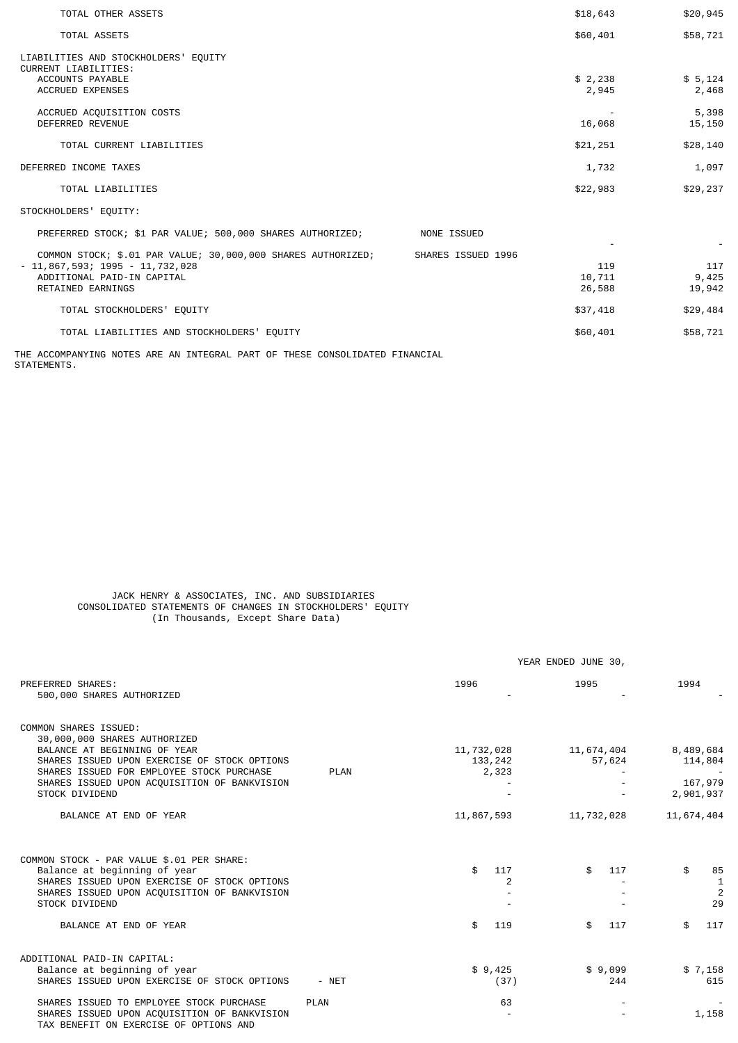| TOTAL OTHER ASSETS                                                                         | \$18,643 | \$20,945        |
|--------------------------------------------------------------------------------------------|----------|-----------------|
| TOTAL ASSETS                                                                               | \$60,401 | \$58,721        |
| LIABILITIES AND STOCKHOLDERS' EQUITY<br><b>CURRENT LIABILITIES:</b><br>ACCOUNTS PAYABLE    | \$2,238  | \$5,124         |
| <b>ACCRUED EXPENSES</b>                                                                    | 2,945    | 2,468           |
| ACCRUED ACOUISITION COSTS<br>DEFERRED REVENUE                                              | 16,068   | 5,398<br>15,150 |
| TOTAL CURRENT LIABILITIES                                                                  | \$21,251 | \$28,140        |
| DEFERRED INCOME TAXES                                                                      | 1,732    | 1,097           |
| TOTAL LIABILITIES                                                                          | \$22,983 | \$29,237        |
| STOCKHOLDERS' EQUITY:                                                                      |          |                 |
| NONE ISSUED<br>PREFERRED STOCK; \$1 PAR VALUE; 500,000 SHARES AUTHORIZED;                  |          |                 |
| COMMON STOCK; \$.01 PAR VALUE; 30,000,000 SHARES AUTHORIZED;<br>SHARES ISSUED 1996         |          |                 |
| $-11,867,593;1995 -11,732,028$                                                             | 119      | 117             |
| ADDITIONAL PAID-IN CAPITAL<br><b>RETAINED EARNINGS</b>                                     | 10,711   | 9,425           |
|                                                                                            | 26,588   | 19,942          |
| TOTAL STOCKHOLDERS' EQUITY                                                                 | \$37,418 | \$29,484        |
| TOTAL LIABILITIES AND STOCKHOLDERS' EQUITY                                                 | \$60,401 | \$58,721        |
| THE ACCOMPANYING NOTES ARE AN INTEGRAL PART OF THESE CONSOLIDATED FINANCIAL<br>STATEMENTS. |          |                 |

 JACK HENRY & ASSOCIATES, INC. AND SUBSIDIARIES CONSOLIDATED STATEMENTS OF CHANGES IN STOCKHOLDERS' EQUITY (In Thousands, Except Share Data)

|                                                                                                                                                                                                                                                                                              |             |                                               | YEAR ENDED JUNE 30,                |                                                            |
|----------------------------------------------------------------------------------------------------------------------------------------------------------------------------------------------------------------------------------------------------------------------------------------------|-------------|-----------------------------------------------|------------------------------------|------------------------------------------------------------|
| <b>PREFERRED SHARES:</b><br>500,000 SHARES AUTHORIZED                                                                                                                                                                                                                                        |             | 1996                                          | 1995                               | 1994                                                       |
| <b>COMMON SHARES ISSUED:</b><br>30,000,000 SHARES AUTHORIZED<br>BALANCE AT BEGINNING OF YEAR<br>SHARES ISSUED UPON EXERCISE OF STOCK OPTIONS<br>SHARES ISSUED FOR EMPLOYEE STOCK PURCHASE<br>SHARES ISSUED UPON ACQUISITION OF BANKVISION<br><b>STOCK DIVIDEND</b><br>BALANCE AT END OF YEAR | <b>PLAN</b> | 11,732,028<br>133, 242<br>2,323<br>11,867,593 | 11,674,404<br>57,624<br>11,732,028 | 8,489,684<br>114,804<br>167,979<br>2,901,937<br>11,674,404 |
| COMMON STOCK - PAR VALUE \$.01 PER SHARE:<br>Balance at beginning of year<br>SHARES ISSUED UPON EXERCISE OF STOCK OPTIONS<br>SHARES ISSUED UPON ACQUISITION OF BANKVISION<br><b>STOCK DIVIDEND</b><br>BALANCE AT END OF YEAR                                                                 |             | \$<br>117<br>2<br>\$<br>119                   | \$<br>117<br>\$<br>117             | \$<br>85<br>$\frac{1}{2}$<br>29<br>\$<br>117               |
| ADDITIONAL PAID-IN CAPITAL:<br>Balance at beginning of year<br>SHARES ISSUED UPON EXERCISE OF STOCK OPTIONS                                                                                                                                                                                  | - NET       | \$9,425<br>(37)                               | \$9,099<br>244                     | \$7,158<br>615                                             |
| SHARES ISSUED TO EMPLOYEE STOCK PURCHASE<br>SHARES ISSUED UPON ACQUISITION OF BANKVISION<br>TAX BENEFIT ON EXERCISE OF OPTIONS AND                                                                                                                                                           | <b>PLAN</b> | 63                                            |                                    | 1,158                                                      |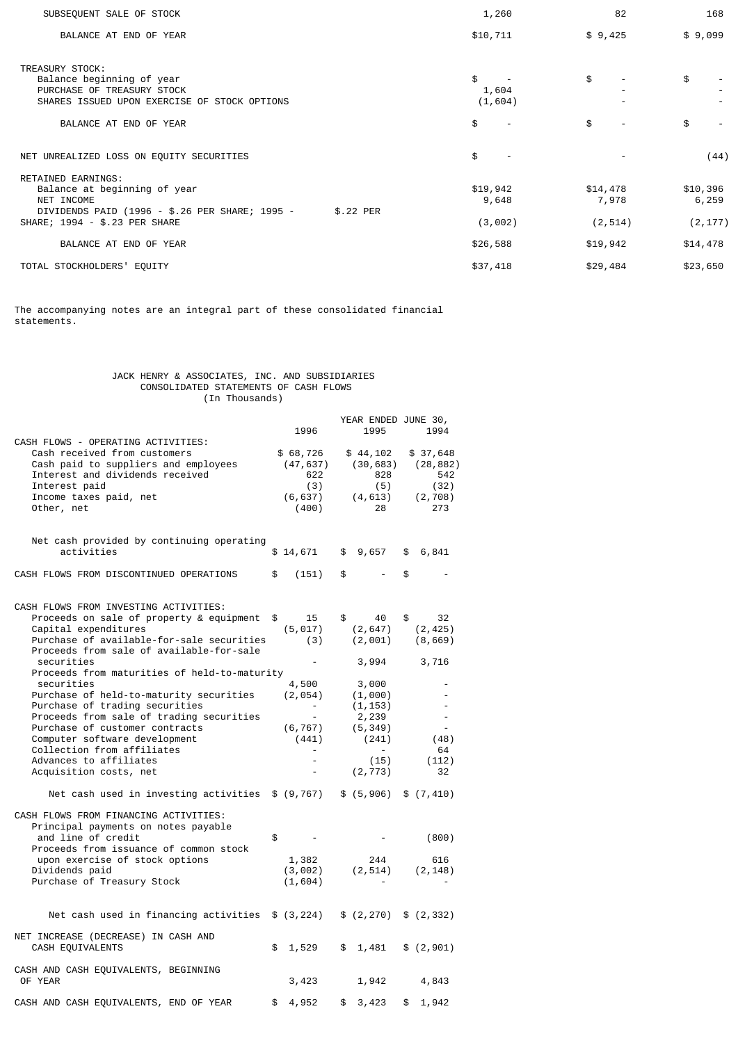| SUBSEQUENT SALE OF STOCK                                                                                | 1,260                          | 82                             | 168      |
|---------------------------------------------------------------------------------------------------------|--------------------------------|--------------------------------|----------|
| BALANCE AT END OF YEAR                                                                                  | \$10,711                       | \$9,425                        | \$9,099  |
| TREASURY STOCK:                                                                                         |                                |                                |          |
| Balance beginning of year<br>PURCHASE OF TREASURY STOCK<br>SHARES ISSUED UPON EXERCISE OF STOCK OPTIONS | \$<br>1,604<br>(1,604)         | \$                             | \$       |
| BALANCE AT END OF YEAR                                                                                  | \$                             | \$<br>$\overline{\phantom{a}}$ | \$       |
| NET UNREALIZED LOSS ON EQUITY SECURITIES                                                                | \$<br>$\overline{\phantom{a}}$ |                                | (44)     |
| RETAINED EARNINGS:                                                                                      |                                |                                |          |
| Balance at beginning of year                                                                            | \$19,942                       | \$14,478                       | \$10,396 |
| NET INCOME                                                                                              | 9,648                          | 7,978                          | 6,259    |
| \$.22 PER<br>DIVIDENDS PAID (1996 - \$.26 PER SHARE; 1995 -<br>SHARE; 1994 - \$.23 PER SHARE            | (3,002)                        | (2, 514)                       | (2, 177) |
| BALANCE AT END OF YEAR                                                                                  | \$26,588                       | \$19,942                       | \$14,478 |
| TOTAL STOCKHOLDERS' EQUITY                                                                              | \$37,418                       | \$29,484                       | \$23,650 |

The accompanying notes are an integral part of these consolidated financial statements.

## JACK HENRY & ASSOCIATES, INC. AND SUBSIDIARIES CONSOLIDATED STATEMENTS OF CASH FLOWS (In Thousands)

| CASH FLOWS - OPERATING ACTIVITIES:                                                                                                                                                  | 1996                                          | YEAR ENDED JUNE 30,<br>1995                           | 1994                                 |
|-------------------------------------------------------------------------------------------------------------------------------------------------------------------------------------|-----------------------------------------------|-------------------------------------------------------|--------------------------------------|
| Cash received from customers<br>Cash paid to suppliers and employees<br>Interest and dividends received<br>Interest paid                                                            | \$68,726<br>(47, 637)<br>622<br>(3)           | \$44,102<br>(30, 683)<br>828<br>(5)                   | \$37,648<br>(28, 882)<br>542<br>(32) |
| Income taxes paid, net<br>Other, net                                                                                                                                                | (6, 637)<br>(400)                             | (4, 613)<br>28                                        | (2, 708)<br>273                      |
| Net cash provided by continuing operating<br>activities                                                                                                                             | \$14,671                                      | \$9,657                                               | \$6,841                              |
| CASH FLOWS FROM DISCONTINUED OPERATIONS                                                                                                                                             | \$<br>(151)                                   | \$                                                    | \$                                   |
| CASH FLOWS FROM INVESTING ACTIVITIES:<br>Proceeds on sale of property & equipment<br>Capital expenditures<br>Purchase of available-for-sale securities                              | 15<br>\$<br>(5, 017)<br>(3)                   | $^{\circ}$<br>40<br>(2, 647)<br>(2,001)               | 32<br>\$<br>(2, 425)<br>(8, 669)     |
| Proceeds from sale of available-for-sale<br>securities                                                                                                                              |                                               | 3,994                                                 | 3,716                                |
| Proceeds from maturities of held-to-maturity<br>securities<br>Purchase of held-to-maturity securities<br>Purchase of trading securities<br>Proceeds from sale of trading securities | 4,500<br>(2, 054)<br>$\sim$<br>$\sim$         | 3,000<br>(1,000)<br>(1, 153)<br>2,239                 | $\overline{\phantom{a}}$             |
| Purchase of customer contracts<br>Computer software development<br>Collection from affiliates<br>Advances to affiliates                                                             | (6, 767)<br>(441)<br>$\overline{\phantom{a}}$ | (5, 349)<br>(241)<br>$\overline{\phantom{0}}$<br>(15) | (48)<br>64<br>(112)                  |
| Acquisition costs, net                                                                                                                                                              |                                               | (2, 773)                                              | 32                                   |
| Net cash used in investing activities $$ (9,767) $ $ (5,906) $ (7,410)$                                                                                                             |                                               |                                                       |                                      |
| CASH FLOWS FROM FINANCING ACTIVITIES:<br>Principal payments on notes payable<br>and line of credit<br>Proceeds from issuance of common stock                                        | \$<br>$\overline{\phantom{a}}$                |                                                       | (800)                                |
| upon exercise of stock options<br>Dividends paid<br>Purchase of Treasury Stock                                                                                                      | 1,382<br>(3,002)<br>(1,604)                   | 244<br>(2, 514)                                       | 616<br>(2, 148)                      |
| Net cash used in financing activities $$$ (3,224)                                                                                                                                   |                                               | \$(2, 270) \$(2, 332)                                 |                                      |
| NET INCREASE (DECREASE) IN CASH AND<br>CASH EQUIVALENTS                                                                                                                             | \$<br>1,529                                   | \$<br>1,481                                           | \$(2,901)                            |
| CASH AND CASH EQUIVALENTS, BEGINNING<br>OF YEAR                                                                                                                                     | 3,423                                         | 1,942                                                 | 4,843                                |
| CASH AND CASH EQUIVALENTS, END OF YEAR                                                                                                                                              | 4,952<br>\$                                   | 3,423<br>\$                                           | \$<br>1,942                          |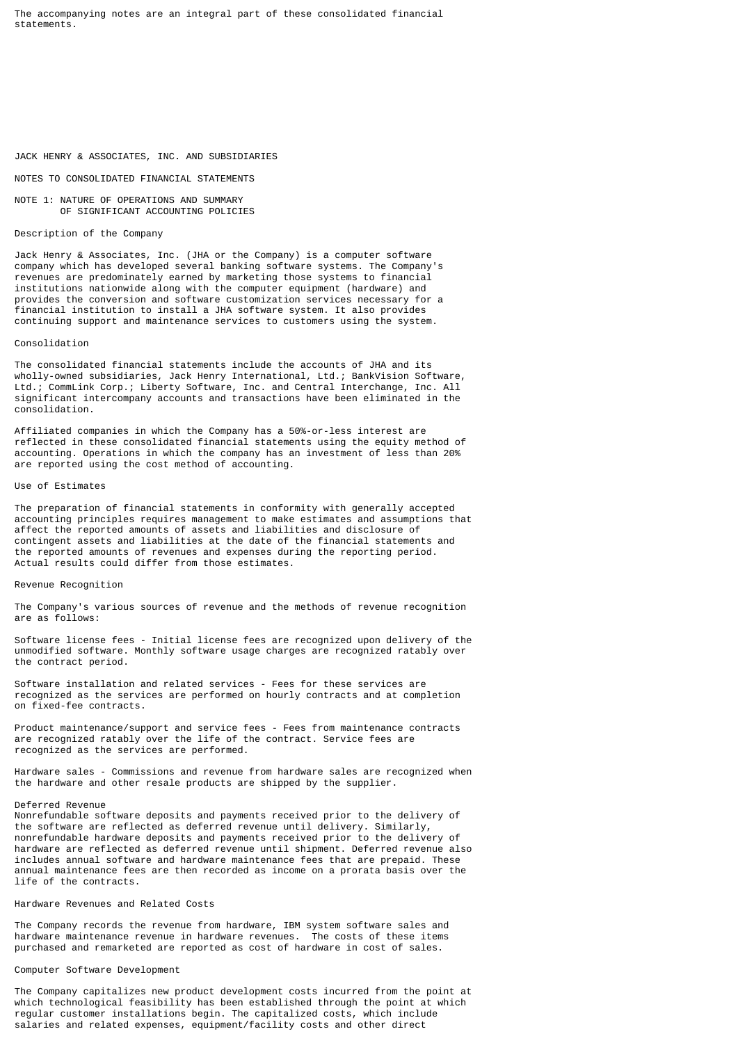# JACK HENRY & ASSOCIATES, INC. AND SUBSIDIARIES

#### NOTES TO CONSOLIDATED FINANCIAL STATEMENTS

# NOTE 1: NATURE OF OPERATIONS AND SUMMARY OF SIGNIFICANT ACCOUNTING POLICIES

#### Description of the Company

Jack Henry & Associates, Inc. (JHA or the Company) is a computer software company which has developed several banking software systems. The Company's revenues are predominately earned by marketing those systems to financial institutions nationwide along with the computer equipment (hardware) and provides the conversion and software customization services necessary for a financial institution to install a JHA software system. It also provides continuing support and maintenance services to customers using the system.

## Consolidation

The consolidated financial statements include the accounts of JHA and its wholly-owned subsidiaries, Jack Henry International, Ltd.; BankVision Software, Ltd.; CommLink Corp.; Liberty Software, Inc. and Central Interchange, Inc. All significant intercompany accounts and transactions have been eliminated in the consolidation.

Affiliated companies in which the Company has a 50%-or-less interest are reflected in these consolidated financial statements using the equity method of accounting. Operations in which the company has an investment of less than 20% are reported using the cost method of accounting.

#### Use of Estimates

The preparation of financial statements in conformity with generally accepted accounting principles requires management to make estimates and assumptions that affect the reported amounts of assets and liabilities and disclosure of contingent assets and liabilities at the date of the financial statements and the reported amounts of revenues and expenses during the reporting period. Actual results could differ from those estimates.

#### Revenue Recognition

The Company's various sources of revenue and the methods of revenue recognition are as follows:

Software license fees - Initial license fees are recognized upon delivery of the unmodified software. Monthly software usage charges are recognized ratably over the contract period.

Software installation and related services - Fees for these services are recognized as the services are performed on hourly contracts and at completion on fixed-fee contracts.

Product maintenance/support and service fees - Fees from maintenance contracts are recognized ratably over the life of the contract. Service fees are recognized as the services are performed.

Hardware sales - Commissions and revenue from hardware sales are recognized when the hardware and other resale products are shipped by the supplier.

## Deferred Revenue

Nonrefundable software deposits and payments received prior to the delivery of the software are reflected as deferred revenue until delivery. Similarly, nonrefundable hardware deposits and payments received prior to the delivery of hardware are reflected as deferred revenue until shipment. Deferred revenue also includes annual software and hardware maintenance fees that are prepaid. These annual maintenance fees are then recorded as income on a prorata basis over the life of the contracts.

## Hardware Revenues and Related Costs

The Company records the revenue from hardware, IBM system software sales and hardware maintenance revenue in hardware revenues. The costs of these items purchased and remarketed are reported as cost of hardware in cost of sales.

# Computer Software Development

The Company capitalizes new product development costs incurred from the point at which technological feasibility has been established through the point at which regular customer installations begin. The capitalized costs, which include salaries and related expenses, equipment/facility costs and other direct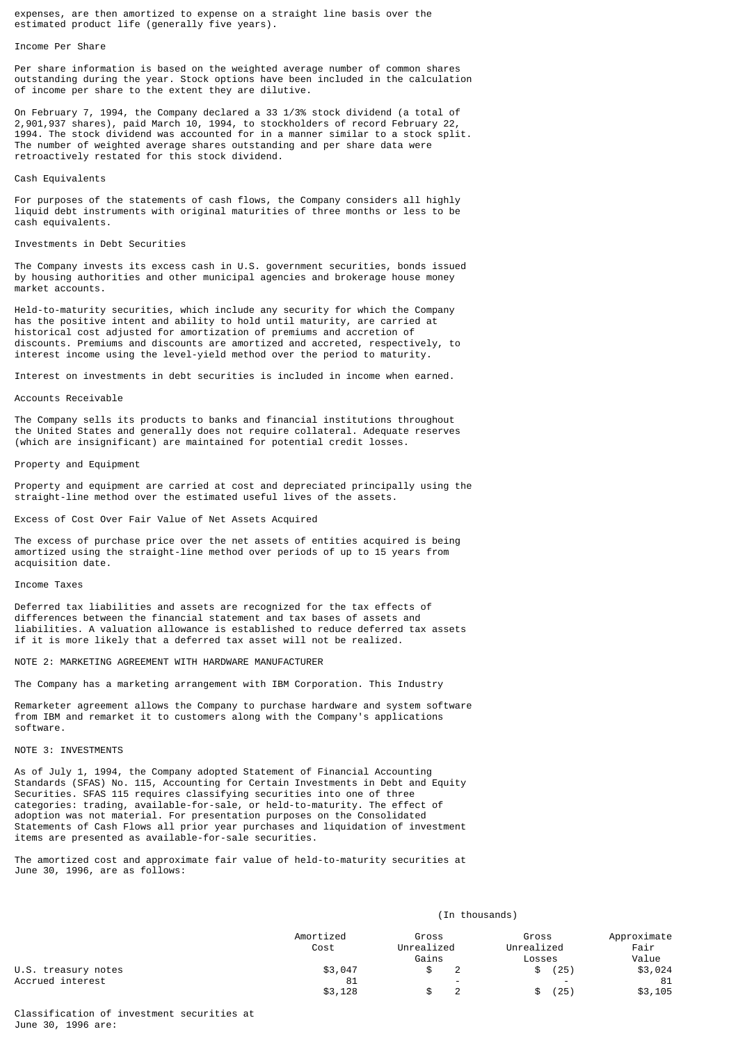expenses, are then amortized to expense on a straight line basis over the estimated product life (generally five years).

## Income Per Share

Per share information is based on the weighted average number of common shares outstanding during the year. Stock options have been included in the calculation of income per share to the extent they are dilutive.

On February 7, 1994, the Company declared a 33 1/3% stock dividend (a total of 2,901,937 shares), paid March 10, 1994, to stockholders of record February 22, 1994. The stock dividend was accounted for in a manner similar to a stock split. The number of weighted average shares outstanding and per share data were retroactively restated for this stock dividend.

#### Cash Equivalents

For purposes of the statements of cash flows, the Company considers all highly liquid debt instruments with original maturities of three months or less to be cash equivalents.

#### Investments in Debt Securities

The Company invests its excess cash in U.S. government securities, bonds issued by housing authorities and other municipal agencies and brokerage house money market accounts.

Held-to-maturity securities, which include any security for which the Company has the positive intent and ability to hold until maturity, are carried at historical cost adjusted for amortization of premiums and accretion of discounts. Premiums and discounts are amortized and accreted, respectively, to interest income using the level-yield method over the period to maturity.

Interest on investments in debt securities is included in income when earned.

# Accounts Receivable

The Company sells its products to banks and financial institutions throughout the United States and generally does not require collateral. Adequate reserves (which are insignificant) are maintained for potential credit losses.

# Property and Equipment

Property and equipment are carried at cost and depreciated principally using the straight-line method over the estimated useful lives of the assets.

#### Excess of Cost Over Fair Value of Net Assets Acquired

The excess of purchase price over the net assets of entities acquired is being amortized using the straight-line method over periods of up to 15 years from acquisition date.

#### Income Taxes

Deferred tax liabilities and assets are recognized for the tax effects of differences between the financial statement and tax bases of assets and liabilities. A valuation allowance is established to reduce deferred tax assets if it is more likely that a deferred tax asset will not be realized.

NOTE 2: MARKETING AGREEMENT WITH HARDWARE MANUFACTURER

The Company has a marketing arrangement with IBM Corporation. This Industry

Remarketer agreement allows the Company to purchase hardware and system software from IBM and remarket it to customers along with the Company's applications software.

## NOTE 3: INVESTMENTS

As of July 1, 1994, the Company adopted Statement of Financial Accounting Standards (SFAS) No. 115, Accounting for Certain Investments in Debt and Equity Securities. SFAS 115 requires classifying securities into one of three categories: trading, available-for-sale, or held-to-maturity. The effect of adoption was not material. For presentation purposes on the Consolidated Statements of Cash Flows all prior year purchases and liquidation of investment items are presented as available-for-sale securities.

The amortized cost and approximate fair value of held-to-maturity securities at June 30, 1996, are as follows:

|                     | (In thousands)    |                              |  |                               |                          |                              |
|---------------------|-------------------|------------------------------|--|-------------------------------|--------------------------|------------------------------|
|                     | Amortized<br>Cost | Gross<br>Unrealized<br>Gains |  | Gross<br>Unrealized<br>Losses |                          | Approximate<br>Fair<br>Value |
| U.S. treasury notes | \$3,047           | \$                           |  |                               | (25)                     | \$3,024                      |
| Accrued interest    | 81                |                              |  |                               | $\overline{\phantom{a}}$ | 81                           |
|                     | \$3,128           |                              |  |                               | (25)                     | \$3,105                      |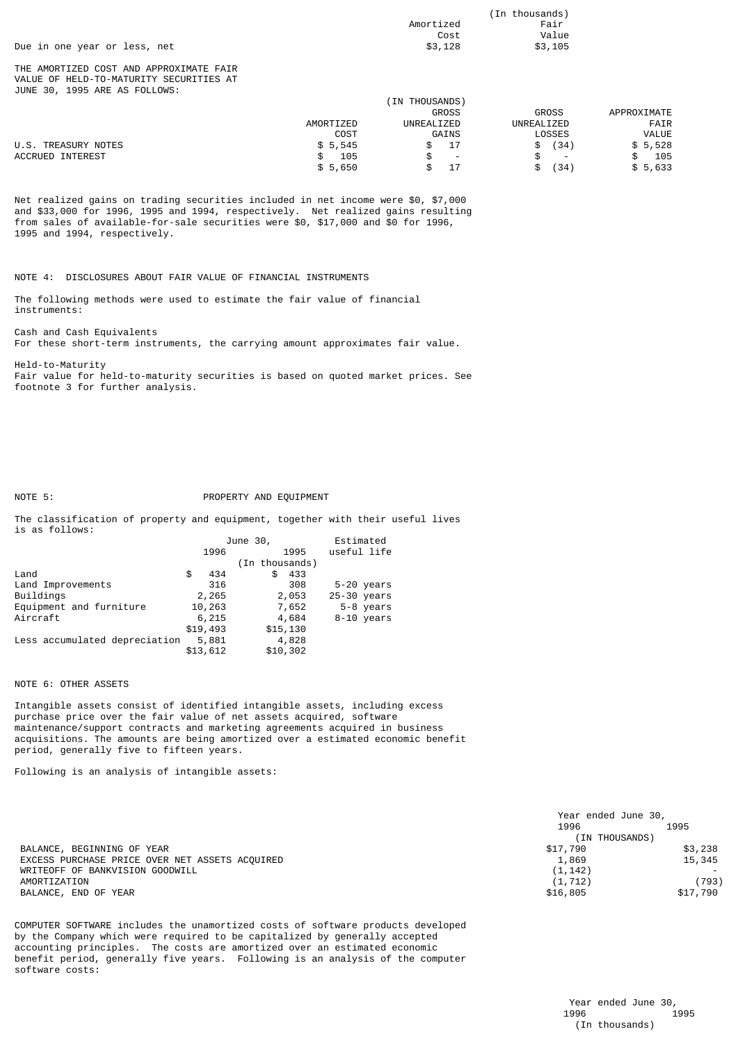|                              |           | (In thousands) |  |
|------------------------------|-----------|----------------|--|
|                              | Amortized | Fair           |  |
|                              | Cost      | Value          |  |
| Due in one year or less, net | \$3,128   | \$3,105        |  |
|                              |           |                |  |

THE AMORTIZED COST AND APPROXIMATE FAIR VALUE OF HELD-TO-MATURITY SECURITIES AT JUNE 30, 1995 ARE AS FOLLOWS:

|                         |           | (IN THOUSANDS)           |                          |             |
|-------------------------|-----------|--------------------------|--------------------------|-------------|
|                         |           | <b>GROSS</b>             | <b>GROSS</b>             | APPROXIMATE |
|                         | AMORTIZED | UNREALIZED               | UNREALIZED               | <b>FAIR</b> |
|                         | COST      | GAINS                    | LOSSES                   | VALUE       |
| TREASURY NOTES<br>U.S.  | \$5.545   | 17                       | (34<br>\$                | \$5,528     |
| <b>ACCRUED INTEREST</b> | 105       | $\overline{\phantom{a}}$ | $\overline{\phantom{a}}$ | 105<br>\$   |
|                         | \$5.650   | 17                       | (34)<br>\$               | \$5,633     |

Net realized gains on trading securities included in net income were \$0, \$7,000 and \$33,000 for 1996, 1995 and 1994, respectively. Net realized gains resulting from sales of available-for-sale securities were \$0, \$17,000 and \$0 for 1996, 1995 and 1994, respectively.

NOTE 4: DISCLOSURES ABOUT FAIR VALUE OF FINANCIAL INSTRUMENTS

The following methods were used to estimate the fair value of financial instruments:

Cash and Cash Equivalents For these short-term instruments, the carrying amount approximates fair value.

Held-to-Maturity Fair value for held-to-maturity securities is based on quoted market prices. See footnote 3 for further analysis.

# NOTE 5: PROPERTY AND EQUIPMENT

The classification of property and equipment, together with their useful lives is as follows:

|                               |          | June 30, |                | Estimated     |            |  |
|-------------------------------|----------|----------|----------------|---------------|------------|--|
|                               |          | 1996     | 1995           | useful life   |            |  |
|                               |          |          | (In thousands) |               |            |  |
| Land                          | \$       | 434      | \$<br>433      |               |            |  |
| Land Improvements             |          | 316      | 308            |               | 5-20 years |  |
| Buildings                     |          | 2,265    | 2,053          | $25-30$ years |            |  |
| Equipment and furniture       | 10,263   |          | 7,652          |               | 5-8 years  |  |
| Aircraft                      |          | 6,215    | 4,684          |               | 8-10 years |  |
|                               | \$19,493 |          | \$15,130       |               |            |  |
| Less accumulated depreciation |          | 5,881    | 4,828          |               |            |  |
|                               | \$13,612 |          | \$10,302       |               |            |  |
|                               |          |          |                |               |            |  |

## NOTE 6: OTHER ASSETS

Intangible assets consist of identified intangible assets, including excess purchase price over the fair value of net assets acquired, software maintenance/support contracts and marketing agreements acquired in business acquisitions. The amounts are being amortized over a estimated economic benefit period, generally five to fifteen years.

Following is an analysis of intangible assets:

COMPUTER SOFTWARE includes the unamortized costs of software products developed by the Company which were required to be capitalized by generally accepted accounting principles. The costs are amortized over an estimated economic benefit period, generally five years. Following is an analysis of the computer software costs:

|                                                | Year ended June 30, |          |  |
|------------------------------------------------|---------------------|----------|--|
|                                                | 1996                | 1995     |  |
|                                                | (IN THOUSANDS)      |          |  |
| BALANCE, BEGINNING OF YEAR                     | \$17,790            | \$3,238  |  |
| EXCESS PURCHASE PRICE OVER NET ASSETS ACQUIRED | 1,869               | 15,345   |  |
| WRITEOFF OF BANKVISION GOODWILL                | (1, 142)            |          |  |
| AMORTIZATION                                   | (1, 712)            | (793)    |  |
| BALANCE, END OF YEAR                           | \$16,805            | \$17,790 |  |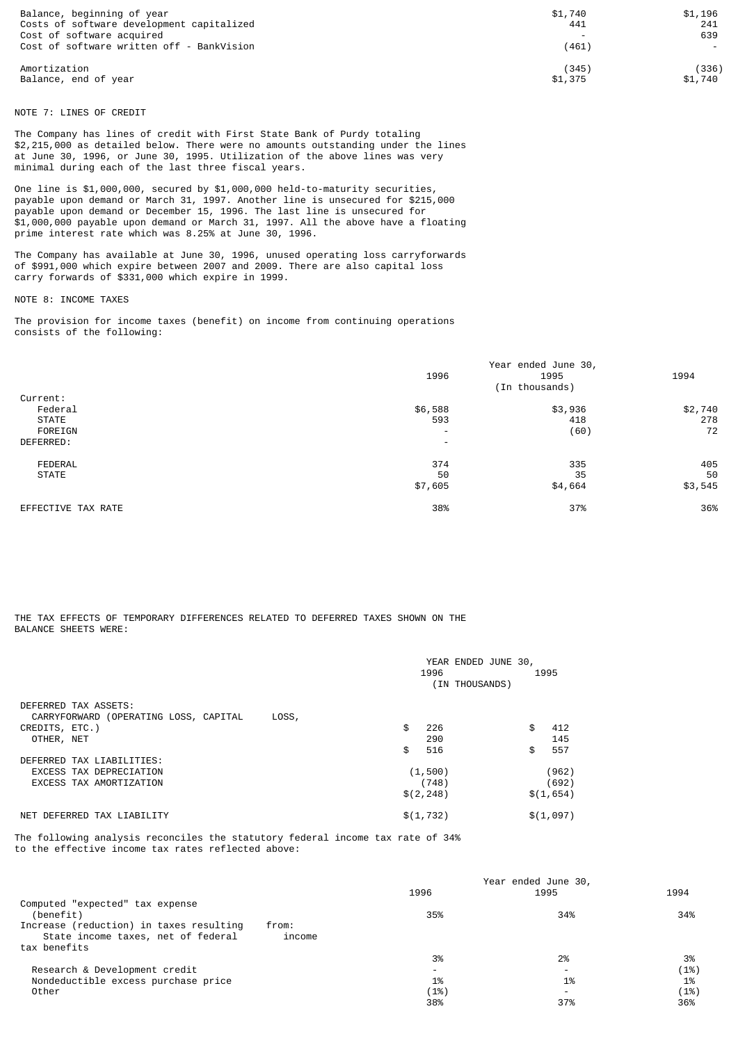| Balance, beginning of year<br>Costs of software development capitalized<br>Cost of software acquired<br>Cost of software written off - BankVision | \$1,740<br>441<br>(461) | \$1,196<br>241<br>639 |
|---------------------------------------------------------------------------------------------------------------------------------------------------|-------------------------|-----------------------|
| Amortization                                                                                                                                      | (345)                   | (336)                 |
| Balance, end of year                                                                                                                              | \$1,375                 | \$1,740               |

## NOTE 7: LINES OF CREDIT

The Company has lines of credit with First State Bank of Purdy totaling \$2,215,000 as detailed below. There were no amounts outstanding under the lines at June 30, 1996, or June 30, 1995. Utilization of the above lines was very minimal during each of the last three fiscal years.

One line is \$1,000,000, secured by \$1,000,000 held-to-maturity securities, payable upon demand or March 31, 1997. Another line is unsecured for \$215,000 payable upon demand or December 15, 1996. The last line is unsecured for \$1,000,000 payable upon demand or March 31, 1997. All the above have a floating prime interest rate which was 8.25% at June 30, 1996.

The Company has available at June 30, 1996, unused operating loss carryforwards of \$991,000 which expire between 2007 and 2009. There are also capital loss carry forwards of \$331,000 which expire in 1999.

# NOTE 8: INCOME TAXES

The provision for income taxes (benefit) on income from continuing operations consists of the following:

|                    |                          | Year ended June 30, |         |
|--------------------|--------------------------|---------------------|---------|
|                    | 1996                     | 1995                | 1994    |
|                    |                          | (In thousands)      |         |
| Current:           |                          |                     |         |
| Federal            | \$6,588                  | \$3,936             | \$2,740 |
| <b>STATE</b>       | 593                      | 418                 | 278     |
| FOREIGN            | $\overline{\phantom{a}}$ | (60)                | 72      |
| DEFERRED:          | $\overline{\phantom{a}}$ |                     |         |
| FEDERAL            | 374                      | 335                 | 405     |
| <b>STATE</b>       | 50                       | 35                  | 50      |
|                    | \$7,605                  | \$4,664             | \$3,545 |
| EFFECTIVE TAX RATE | 38%                      | 37%                 | 36%     |

THE TAX EFFECTS OF TEMPORARY DIFFERENCES RELATED TO DEFERRED TAXES SHOWN ON THE BALANCE SHEETS WERE:

|                                                | YEAR ENDED JUNE 30,<br>1996<br>1995<br>(IN THOUSANDS) |
|------------------------------------------------|-------------------------------------------------------|
| DEFERRED TAX ASSETS:                           |                                                       |
| LOSS,<br>CARRYFORWARD (OPERATING LOSS, CAPITAL |                                                       |
| CREDITS, ETC.)                                 | \$<br>\$<br>226<br>412                                |
| OTHER, NET                                     | 290<br>145                                            |
|                                                | \$<br>557<br>\$<br>516                                |
| DEFERRED TAX LIABILITIES:                      |                                                       |
| EXCESS TAX DEPRECIATION                        | (962)<br>(1,500)                                      |
| EXCESS TAX AMORTIZATION                        | (748)<br>(692)                                        |
|                                                | \$(2, 248)<br>\$(1,654)                               |
| DEFERRED TAX LIABILITY<br><b>NFT</b>           | \$(1, 732)<br>\$(1,097)                               |

The following analysis reconciles the statutory federal income tax rate of 34% to the effective income tax rates reflected above:

|        | Year ended June 30,      |      |       |
|--------|--------------------------|------|-------|
|        |                          |      | 1994  |
|        |                          |      |       |
|        | 35%                      | 34%  | 34%   |
| from:  |                          |      |       |
| income |                          |      |       |
|        |                          |      |       |
|        | 3%                       | 2%   | 3%    |
|        | $\overline{\phantom{a}}$ |      | $1\%$ |
|        | 1%                       | 1%   | 1%    |
|        | (1%)                     |      | (1%)  |
|        | 38%                      | 37%  | 36%   |
|        |                          | 1996 | 1995  |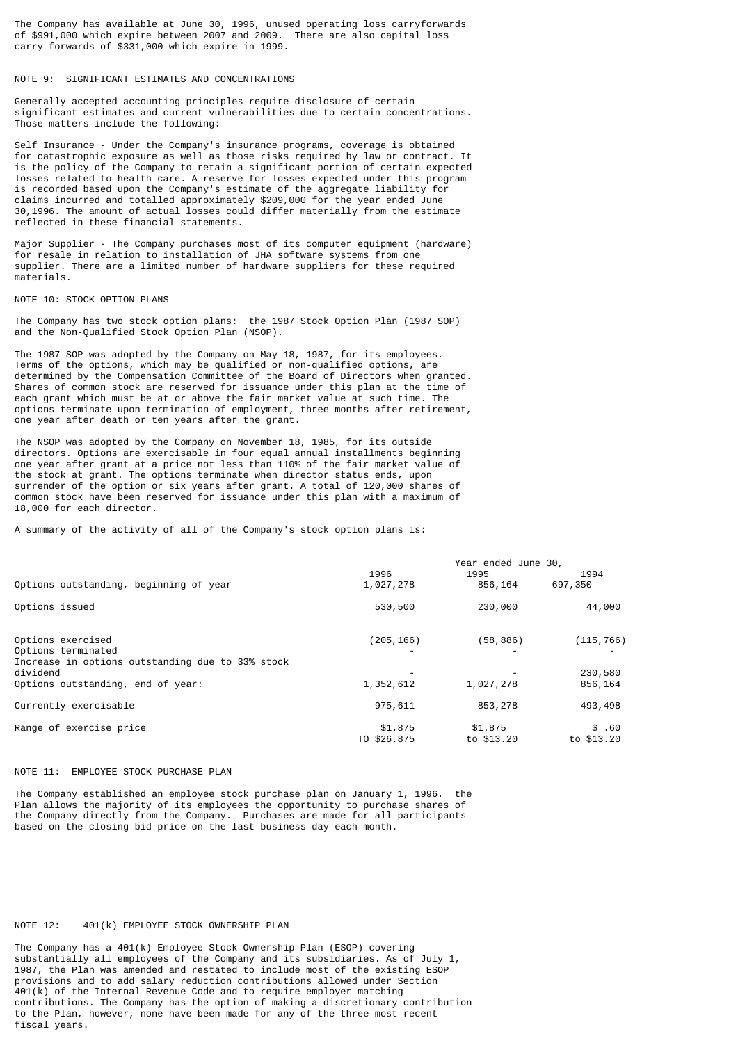The Company has available at June 30, 1996, unused operating loss carryforwards of \$991,000 which expire between 2007 and 2009. There are also capital loss carry forwards of \$331,000 which expire in 1999.

#### NOTE 9: SIGNIFICANT ESTIMATES AND CONCENTRATIONS

Generally accepted accounting principles require disclosure of certain significant estimates and current vulnerabilities due to certain concentrations. Those matters include the following:

Self Insurance - Under the Company's insurance programs, coverage is obtained for catastrophic exposure as well as those risks required by law or contract. It is the policy of the Company to retain a significant portion of certain expected losses related to health care. A reserve for losses expected under this program is recorded based upon the Company's estimate of the aggregate liability for claims incurred and totalled approximately \$209,000 for the year ended June 30,1996. The amount of actual losses could differ materially from the estimate reflected in these financial statements.

Major Supplier - The Company purchases most of its computer equipment (hardware) for resale in relation to installation of JHA software systems from one supplier. There are a limited number of hardware suppliers for these required materials.

#### NOTE 10: STOCK OPTION PLANS

The Company has two stock option plans: the 1987 Stock Option Plan (1987 SOP) and the Non-Qualified Stock Option Plan (NSOP).

The 1987 SOP was adopted by the Company on May 18, 1987, for its employees. Terms of the options, which may be qualified or non-qualified options, are determined by the Compensation Committee of the Board of Directors when granted. Shares of common stock are reserved for issuance under this plan at the time of each grant which must be at or above the fair market value at such time. The options terminate upon termination of employment, three months after retirement, one year after death or ten years after the grant.

The NSOP was adopted by the Company on November 18, 1985, for its outside directors. Options are exercisable in four equal annual installments beginning one year after grant at a price not less than 110% of the fair market value of the stock at grant. The options terminate when director status ends, upon surrender of the option or six years after grant. A total of 120,000 shares of common stock have been reserved for issuance under this plan with a maximum of 18,000 for each director.

A summary of the activity of all of the Company's stock option plans is:

|                                                                                             | Year ended June 30,    |                       |                     |
|---------------------------------------------------------------------------------------------|------------------------|-----------------------|---------------------|
|                                                                                             | 1996                   | 1995                  | 1994                |
| Options outstanding, beginning of year                                                      | 1,027,278              | 856,164               | 697,350             |
| Options issued                                                                              | 530,500                | 230,000               | 44,000              |
| Options exercised<br>Options terminated<br>Increase in options outstanding due to 33% stock | (205,166)              | (58,886)              | (115, 766)          |
| dividend                                                                                    |                        |                       | 230,580             |
| Options outstanding, end of year:                                                           | 1,352,612              | 1,027,278             | 856,164             |
| Currently exercisable                                                                       | 975,611                | 853,278               | 493,498             |
| Range of exercise price                                                                     | \$1,875<br>TO \$26,875 | \$1,875<br>to \$13.20 | \$.60<br>to \$13.20 |

## NOTE 11: EMPLOYEE STOCK PURCHASE PLAN

The Company established an employee stock purchase plan on January 1, 1996. the Plan allows the majority of its employees the opportunity to purchase shares of the Company directly from the Company. Purchases are made for all participants based on the closing bid price on the last business day each month.

## NOTE 12: 401(k) EMPLOYEE STOCK OWNERSHIP PLAN

The Company has a 401(k) Employee Stock Ownership Plan (ESOP) covering substantially all employees of the Company and its subsidiaries. As of July 1, 1987, the Plan was amended and restated to include most of the existing ESOP provisions and to add salary reduction contributions allowed under Section 401(k) of the Internal Revenue Code and to require employer matching contributions. The Company has the option of making a discretionary contribution to the Plan, however, none have been made for any of the three most recent fiscal years.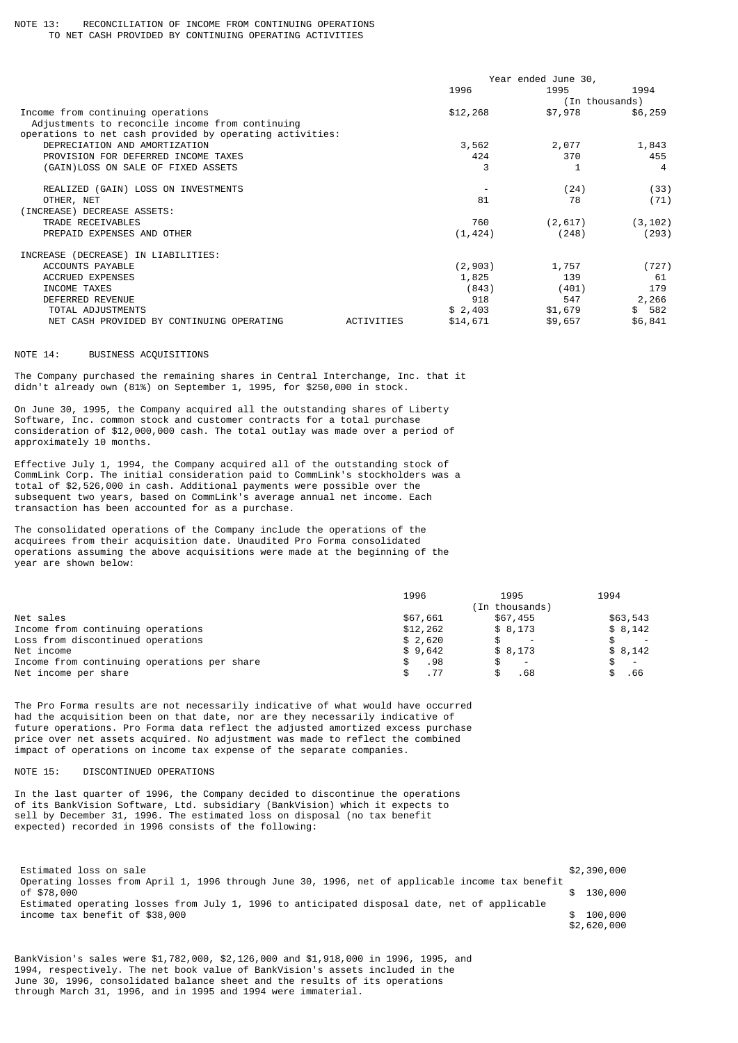## NOTE 13: RECONCILIATION OF INCOME FROM CONTINUING OPERATIONS TO NET CASH PROVIDED BY CONTINUING OPERATING ACTIVITIES

|                                                                                | Year ended June 30, |  |
|--------------------------------------------------------------------------------|---------------------|--|
| 1995<br>1996                                                                   | 1994                |  |
|                                                                                | (In thousands)      |  |
| Income from continuing operations<br>\$12,268<br>\$7,978                       | \$6,259             |  |
| Adjustments to reconcile income from continuing                                |                     |  |
| operations to net cash provided by operating activities:                       |                     |  |
| DEPRECIATION AND AMORTIZATION<br>3,562<br>2,077                                | 1,843               |  |
| PROVISION FOR DEFERRED INCOME TAXES<br>424<br>370                              | 455                 |  |
| (GAIN) LOSS ON SALE OF FIXED ASSETS<br>3<br>1                                  | 4                   |  |
|                                                                                |                     |  |
| REALIZED (GAIN) LOSS ON INVESTMENTS<br>(24)                                    | (33)                |  |
| 81<br>78<br>OTHER, NET                                                         | (71)                |  |
| (INCREASE) DECREASE ASSETS:                                                    |                     |  |
| TRADE RECEIVABLES<br>(2, 617)<br>760                                           | (3, 102)            |  |
| PREPAID EXPENSES AND OTHER<br>(1, 424)<br>(248)                                | (293)               |  |
| INCREASE (DECREASE) IN LIABILITIES:                                            |                     |  |
| ACCOUNTS PAYABLE<br>(2, 903)<br>1,757                                          | (727)               |  |
| <b>ACCRUED EXPENSES</b><br>1,825<br>139                                        | 61                  |  |
| INCOME TAXES<br>(843)<br>(401)                                                 | 179                 |  |
| DEFERRED REVENUE<br>918<br>547                                                 | 2,266               |  |
| \$2,403<br>TOTAL ADJUSTMENTS<br>\$1,679                                        | \$582               |  |
| NET CASH PROVIDED BY CONTINUING OPERATING<br>\$14,671<br>\$9,657<br>ACTIVITIES | \$6,841             |  |

### NOTE 14: BUSINESS ACQUISITIONS

The Company purchased the remaining shares in Central Interchange, Inc. that it didn't already own (81%) on September 1, 1995, for \$250,000 in stock.

On June 30, 1995, the Company acquired all the outstanding shares of Liberty Software, Inc. common stock and customer contracts for a total purchase consideration of \$12,000,000 cash. The total outlay was made over a period of approximately 10 months.

Effective July 1, 1994, the Company acquired all of the outstanding stock of CommLink Corp. The initial consideration paid to CommLink's stockholders was a total of \$2,526,000 in cash. Additional payments were possible over the subsequent two years, based on CommLink's average annual net income. Each transaction has been accounted for as a purchase.

The consolidated operations of the Company include the operations of the acquirees from their acquisition date. Unaudited Pro Forma consolidated operations assuming the above acquisitions were made at the beginning of the year are shown below:

|                                             | 1996           | 1995                     | 1994     |
|---------------------------------------------|----------------|--------------------------|----------|
|                                             | (In thousands) |                          |          |
| Net sales                                   | \$67,661       | \$67,455                 | \$63,543 |
| Income from continuing operations           | \$12,262       | \$8,173                  | \$8,142  |
| Loss from discontinued operations           | \$2.620        | $\overline{\phantom{0}}$ |          |
| Net income                                  | \$9.642        | \$8,173                  | \$8.142  |
| Income from continuing operations per share | .98            | $\overline{\phantom{a}}$ |          |
| Net income per share                        |                | .68                      | .66      |

The Pro Forma results are not necessarily indicative of what would have occurred had the acquisition been on that date, nor are they necessarily indicative of future operations. Pro Forma data reflect the adjusted amortized excess purchase price over net assets acquired. No adjustment was made to reflect the combined impact of operations on income tax expense of the separate companies.

## NOTE 15: DISCONTINUED OPERATIONS

In the last quarter of 1996, the Company decided to discontinue the operations of its BankVision Software, Ltd. subsidiary (BankVision) which it expects to sell by December 31, 1996. The estimated loss on disposal (no tax benefit expected) recorded in 1996 consists of the following:

| Estimated loss on sale                                                                          | \$2,390,000 |
|-------------------------------------------------------------------------------------------------|-------------|
| Operating losses from April 1, 1996 through June 30, 1996, net of applicable income tax benefit |             |
| of \$78,000                                                                                     | \$130.000   |
| Estimated operating losses from July 1, 1996 to anticipated disposal date, net of applicable    |             |
| income tax benefit of \$38,000                                                                  | \$100.000   |
|                                                                                                 | \$2,620,000 |

BankVision's sales were \$1,782,000, \$2,126,000 and \$1,918,000 in 1996, 1995, and 1994, respectively. The net book value of BankVision's assets included in the June 30, 1996, consolidated balance sheet and the results of its operations through March 31, 1996, and in 1995 and 1994 were immaterial.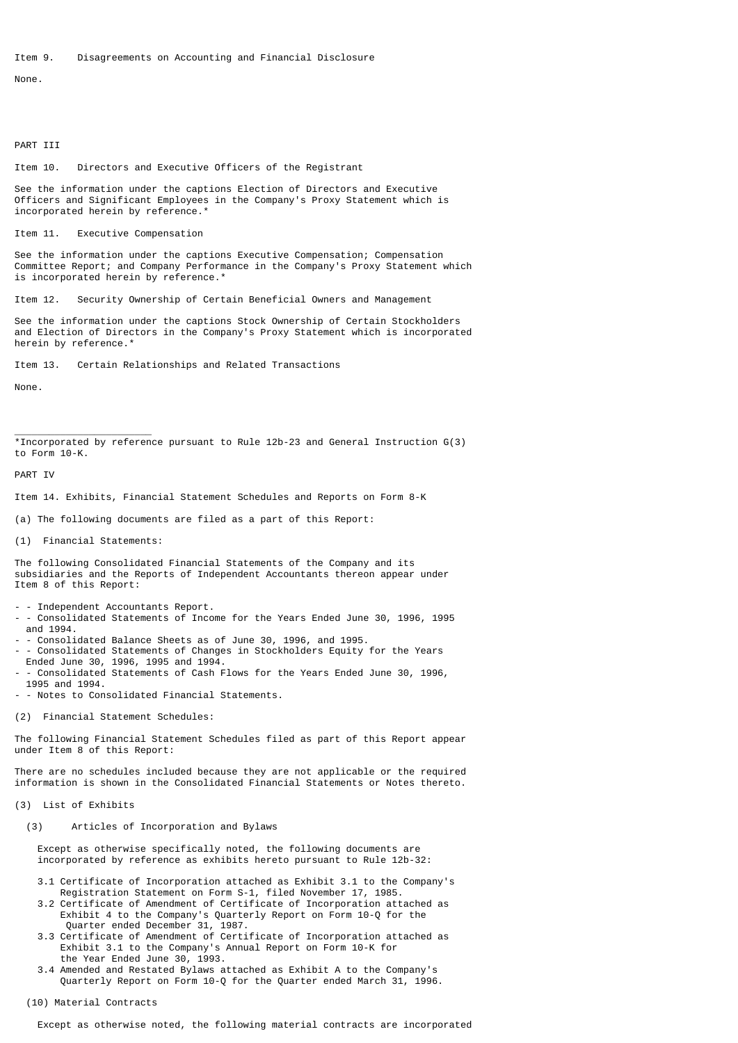Item 9. Disagreements on Accounting and Financial Disclosure

None.

#### PART III

Item 10. Directors and Executive Officers of the Registrant

See the information under the captions Election of Directors and Executive Officers and Significant Employees in the Company's Proxy Statement which is incorporated herein by reference.\*

Item 11. Executive Compensation

See the information under the captions Executive Compensation; Compensation Committee Report; and Company Performance in the Company's Proxy Statement which is incorporated herein by reference.\*

Item 12. Security Ownership of Certain Beneficial Owners and Management

See the information under the captions Stock Ownership of Certain Stockholders and Election of Directors in the Company's Proxy Statement which is incorporated herein by reference.\*

Item 13. Certain Relationships and Related Transactions

None.

\*Incorporated by reference pursuant to Rule 12b-23 and General Instruction G(3) to Form 10-K.

PART TV

Item 14. Exhibits, Financial Statement Schedules and Reports on Form 8-K

- (a) The following documents are filed as a part of this Report:
- (1) Financial Statements:

\_\_\_\_\_\_\_\_\_\_\_\_\_\_\_\_\_\_\_\_\_\_\_\_

The following Consolidated Financial Statements of the Company and its subsidiaries and the Reports of Independent Accountants thereon appear under Item 8 of this Report:

- - Independent Accountants Report.
- - Consolidated Statements of Income for the Years Ended June 30, 1996, 1995 and 1994.
- - Consolidated Balance Sheets as of June 30, 1996, and 1995.
- Consolidated Statements of Changes in Stockholders Equity for the Years Ended June 30, 1996, 1995 and 1994.
- Consolidated Statements of Cash Flows for the Years Ended June 30, 1996, 1995 and 1994.
- Notes to Consolidated Financial Statements.
- (2) Financial Statement Schedules:

The following Financial Statement Schedules filed as part of this Report appear under Item 8 of this Report:

There are no schedules included because they are not applicable or the required information is shown in the Consolidated Financial Statements or Notes thereto.

- (3) List of Exhibits
	- (3) Articles of Incorporation and Bylaws

 Except as otherwise specifically noted, the following documents are incorporated by reference as exhibits hereto pursuant to Rule 12b-32:

- 3.1 Certificate of Incorporation attached as Exhibit 3.1 to the Company's Registration Statement on Form S-1, filed November 17, 1985.
- 3.2 Certificate of Amendment of Certificate of Incorporation attached as Exhibit 4 to the Company's Quarterly Report on Form 10-Q for the Quarter ended December 31, 1987.
- 3.3 Certificate of Amendment of Certificate of Incorporation attached as Exhibit 3.1 to the Company's Annual Report on Form 10-K for the Year Ended June 30, 1993.
	- 3.4 Amended and Restated Bylaws attached as Exhibit A to the Company's Quarterly Report on Form 10-Q for the Quarter ended March 31, 1996.

#### (10) Material Contracts

Except as otherwise noted, the following material contracts are incorporated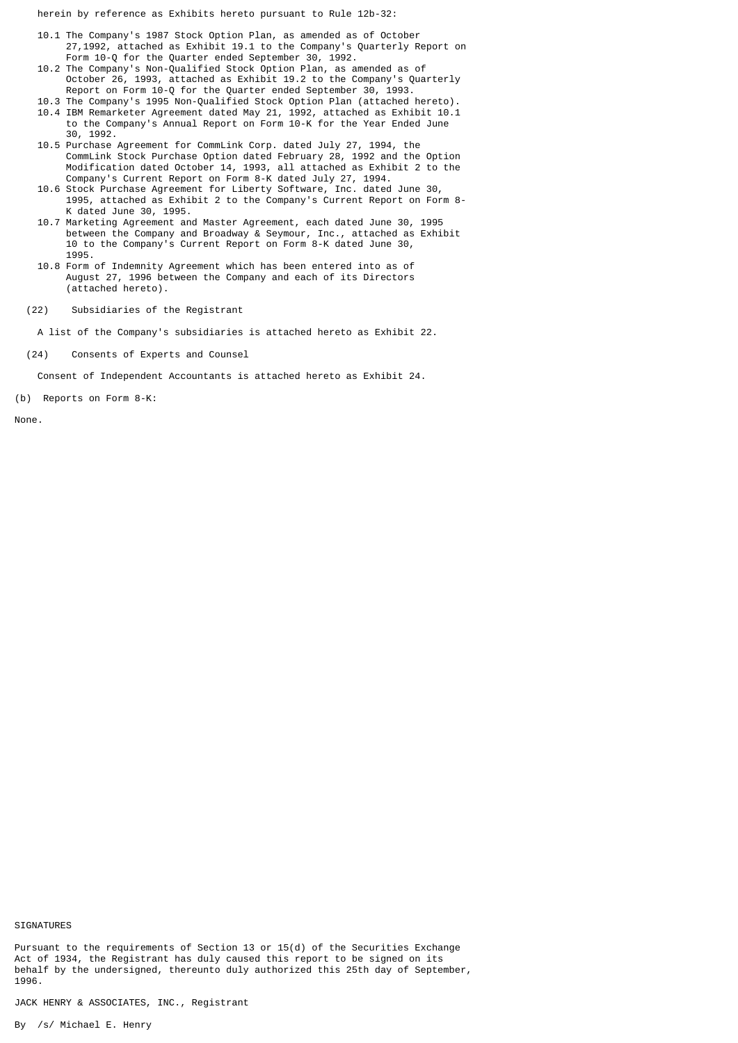herein by reference as Exhibits hereto pursuant to Rule 12b-32:

- 10.1 The Company's 1987 Stock Option Plan, as amended as of October 27,1992, attached as Exhibit 19.1 to the Company's Quarterly Report on Form 10-Q for the Quarter ended September 30, 1992.
	- 10.2 The Company's Non-Qualified Stock Option Plan, as amended as of October 26, 1993, attached as Exhibit 19.2 to the Company's Quarterly Report on Form 10-Q for the Quarter ended September 30, 1993.
- 10.3 The Company's 1995 Non-Qualified Stock Option Plan (attached hereto). 10.4 IBM Remarketer Agreement dated May 21, 1992, attached as Exhibit 10.1
- to the Company's Annual Report on Form 10-K for the Year Ended June 30, 1992. 10.5 Purchase Agreement for CommLink Corp. dated July 27, 1994, the
- CommLink Stock Purchase Option dated February 28, 1992 and the Option Modification dated October 14, 1993, all attached as Exhibit 2 to the Company's Current Report on Form 8-K dated July 27, 1994.
- 10.6 Stock Purchase Agreement for Liberty Software, Inc. dated June 30, 1995, attached as Exhibit 2 to the Company's Current Report on Form 8- K dated June 30, 1995.
	- 10.7 Marketing Agreement and Master Agreement, each dated June 30, 1995 between the Company and Broadway & Seymour, Inc., attached as Exhibit 10 to the Company's Current Report on Form 8-K dated June 30, 1995.
	- 10.8 Form of Indemnity Agreement which has been entered into as of August 27, 1996 between the Company and each of its Directors (attached hereto).
	- (22) Subsidiaries of the Registrant

A list of the Company's subsidiaries is attached hereto as Exhibit 22.

(24) Consents of Experts and Counsel

Consent of Independent Accountants is attached hereto as Exhibit 24.

(b) Reports on Form 8-K:

None.

#### SIGNATURES

Pursuant to the requirements of Section 13 or 15(d) of the Securities Exchange Act of 1934, the Registrant has duly caused this report to be signed on its behalf by the undersigned, thereunto duly authorized this 25th day of September, 1996.

JACK HENRY & ASSOCIATES, INC., Registrant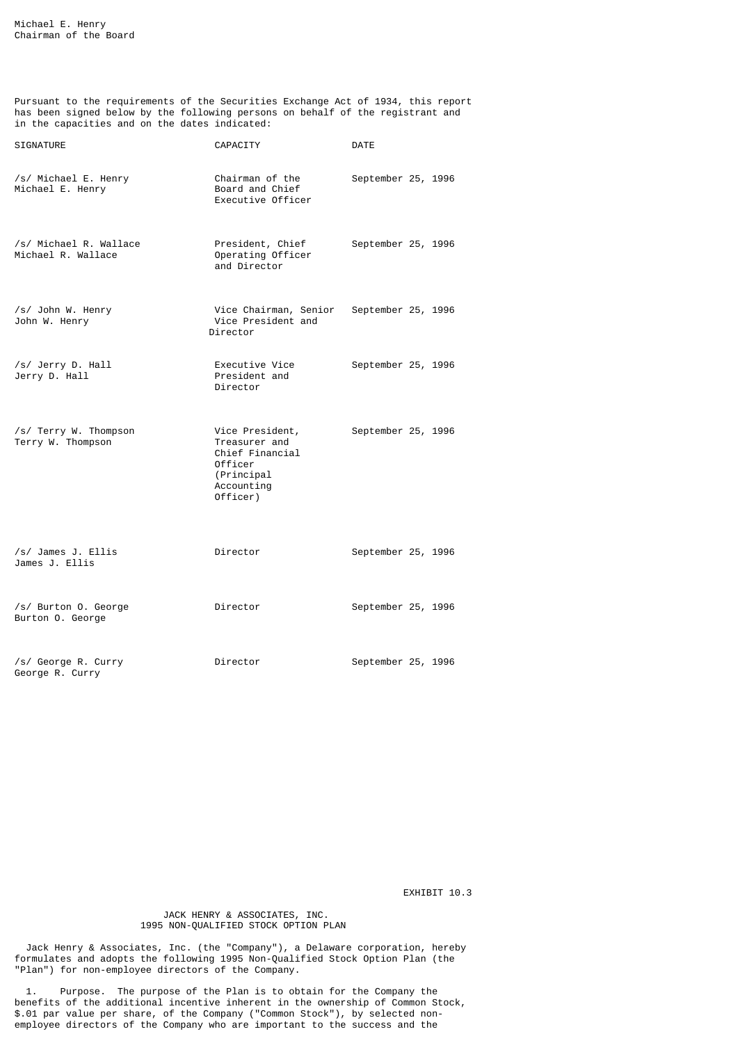Pursuant to the requirements of the Securities Exchange Act of 1934, this report has been signed below by the following persons on behalf of the registrant and in the capacities and on the dates indicated:

| SIGNATURE                                    | CAPACITY                                                                                               | DATE               |
|----------------------------------------------|--------------------------------------------------------------------------------------------------------|--------------------|
| /s/ Michael E. Henry<br>Michael E. Henry     | Chairman of the<br>Board and Chief<br>Executive Officer                                                | September 25, 1996 |
| /s/ Michael R. Wallace<br>Michael R. Wallace | President, Chief<br>Operating Officer<br>and Director                                                  | September 25, 1996 |
| /s/ John W. Henry<br>John W. Henry           | Vice Chairman, Senior<br>Vice President and<br>Director                                                | September 25, 1996 |
| /s/ Jerry D. Hall<br>Jerry D. Hall           | Executive Vice<br>President and<br>Director                                                            | September 25, 1996 |
| /s/ Terry W. Thompson<br>Terry W. Thompson   | Vice President,<br>Treasurer and<br>Chief Financial<br>Officer<br>(Principal<br>Accounting<br>Officer) | September 25, 1996 |
| /s/ James J. Ellis<br>James J. Ellis         | Director                                                                                               | September 25, 1996 |
| /s/ Burton 0. George<br>Burton O. George     | Director                                                                                               | September 25, 1996 |
| /s/ George R. Curry<br>George R. Curry       | Director                                                                                               | September 25, 1996 |

EXHIBIT 10.3

# JACK HENRY & ASSOCIATES, INC. 1995 NON-QUALIFIED STOCK OPTION PLAN

 Jack Henry & Associates, Inc. (the "Company"), a Delaware corporation, hereby formulates and adopts the following 1995 Non-Qualified Stock Option Plan (the "Plan") for non-employee directors of the Company.

 1. Purpose. The purpose of the Plan is to obtain for the Company the benefits of the additional incentive inherent in the ownership of Common Stock, \$.01 par value per share, of the Company ("Common Stock"), by selected nonemployee directors of the Company who are important to the success and the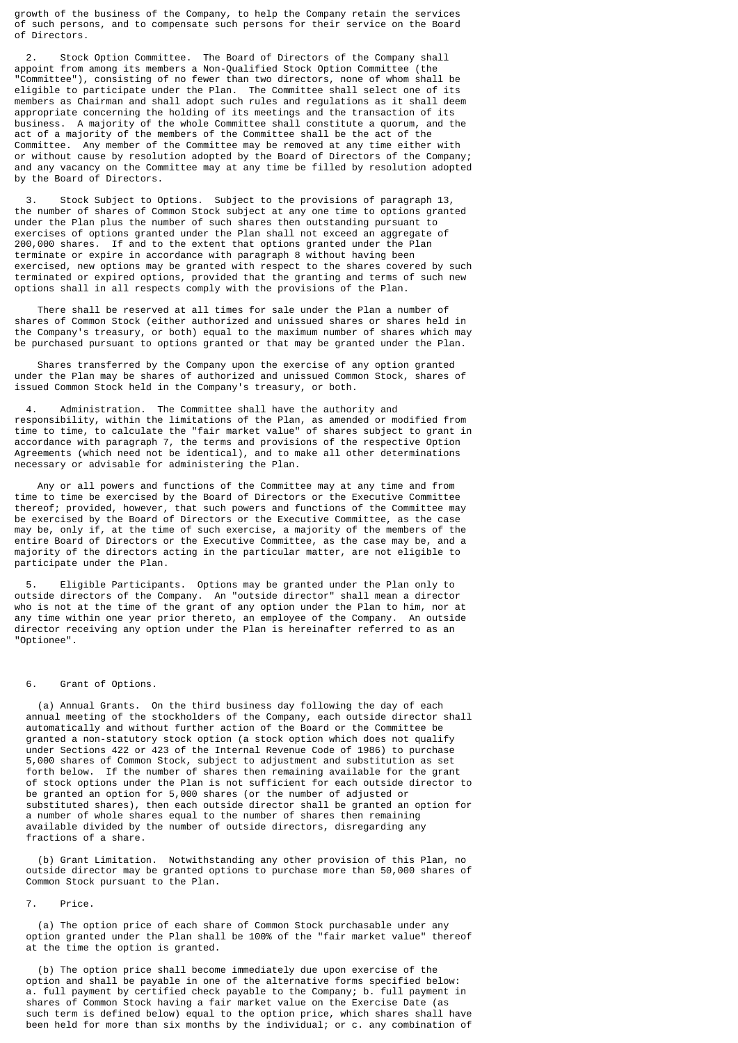growth of the business of the Company, to help the Company retain the services of such persons, and to compensate such persons for their service on the Board of Directors.

 2. Stock Option Committee. The Board of Directors of the Company shall appoint from among its members a Non-Qualified Stock Option Committee (the "Committee"), consisting of no fewer than two directors, none of whom shall be eligible to participate under the Plan. The Committee shall select one of its members as Chairman and shall adopt such rules and regulations as it shall deem appropriate concerning the holding of its meetings and the transaction of its business. A majority of the whole Committee shall constitute a quorum, and the act of a majority of the members of the Committee shall be the act of the Committee. Any member of the Committee may be removed at any time either with or without cause by resolution adopted by the Board of Directors of the Company; and any vacancy on the Committee may at any time be filled by resolution adopted by the Board of Directors.

 3. Stock Subject to Options. Subject to the provisions of paragraph 13, the number of shares of Common Stock subject at any one time to options granted under the Plan plus the number of such shares then outstanding pursuant to exercises of options granted under the Plan shall not exceed an aggregate of 200,000 shares. If and to the extent that options granted under the Plan terminate or expire in accordance with paragraph 8 without having been exercised, new options may be granted with respect to the shares covered by such terminated or expired options, provided that the granting and terms of such new options shall in all respects comply with the provisions of the Plan.

 There shall be reserved at all times for sale under the Plan a number of shares of Common Stock (either authorized and unissued shares or shares held in the Company's treasury, or both) equal to the maximum number of shares which may be purchased pursuant to options granted or that may be granted under the Plan.

 Shares transferred by the Company upon the exercise of any option granted under the Plan may be shares of authorized and unissued Common Stock, shares of issued Common Stock held in the Company's treasury, or both.

Administration. The Committee shall have the authority and responsibility, within the limitations of the Plan, as amended or modified from time to time, to calculate the "fair market value" of shares subject to grant in accordance with paragraph 7, the terms and provisions of the respective Option Agreements (which need not be identical), and to make all other determinations necessary or advisable for administering the Plan.

 Any or all powers and functions of the Committee may at any time and from time to time be exercised by the Board of Directors or the Executive Committee thereof; provided, however, that such powers and functions of the Committee may be exercised by the Board of Directors or the Executive Committee, as the case may be, only if, at the time of such exercise, a majority of the members of the entire Board of Directors or the Executive Committee, as the case may be, and a majority of the directors acting in the particular matter, are not eligible to participate under the Plan.

Eligible Participants. Options may be granted under the Plan only to outside directors of the Company. An "outside director" shall mean a director who is not at the time of the grant of any option under the Plan to him, nor at any time within one year prior thereto, an employee of the Company. An outside director receiving any option under the Plan is hereinafter referred to as an "Optionee".

## 6. Grant of Options.

 (a) Annual Grants. On the third business day following the day of each annual meeting of the stockholders of the Company, each outside director shall automatically and without further action of the Board or the Committee be granted a non-statutory stock option (a stock option which does not qualify under Sections 422 or 423 of the Internal Revenue Code of 1986) to purchase 5,000 shares of Common Stock, subject to adjustment and substitution as set forth below. If the number of shares then remaining available for the grant of stock options under the Plan is not sufficient for each outside director to be granted an option for 5,000 shares (or the number of adjusted or substituted shares), then each outside director shall be granted an option for a number of whole shares equal to the number of shares then remaining available divided by the number of outside directors, disregarding any fractions of a share.

 (b) Grant Limitation. Notwithstanding any other provision of this Plan, no outside director may be granted options to purchase more than 50,000 shares of Common Stock pursuant to the Plan.

## 7. Price.

 (a) The option price of each share of Common Stock purchasable under any option granted under the Plan shall be 100% of the "fair market value" thereof at the time the option is granted.

 (b) The option price shall become immediately due upon exercise of the option and shall be payable in one of the alternative forms specified below: a. full payment by certified check payable to the Company; b. full payment in shares of Common Stock having a fair market value on the Exercise Date (as such term is defined below) equal to the option price, which shares shall have been held for more than six months by the individual; or c. any combination of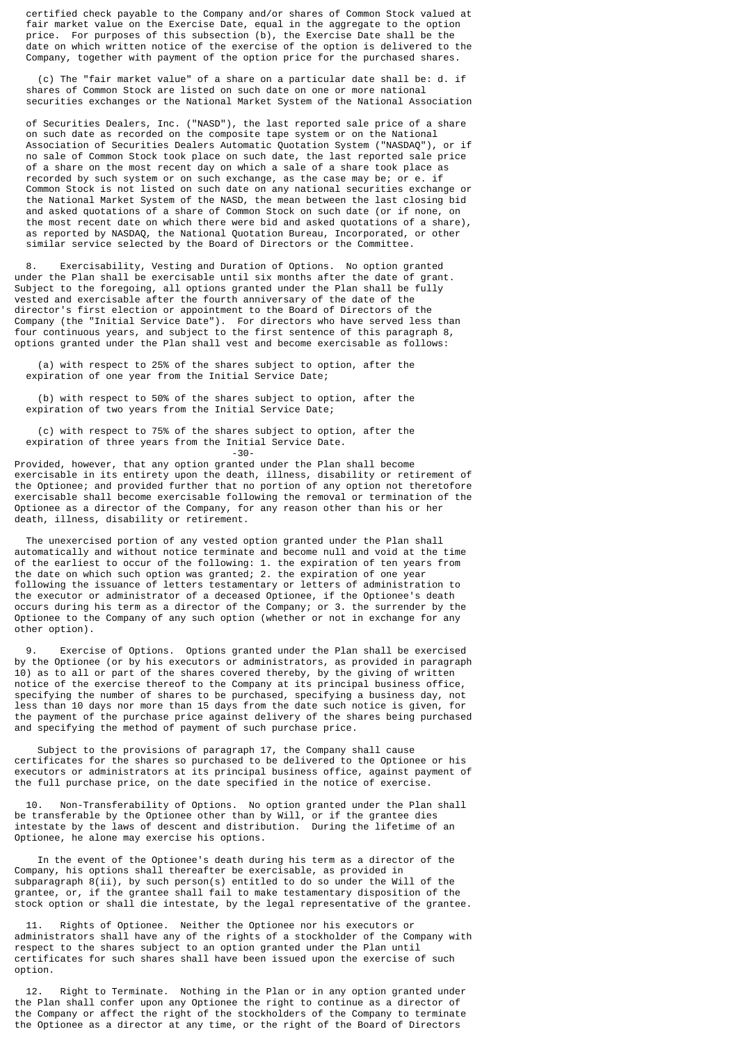certified check payable to the Company and/or shares of Common Stock valued at fair market value on the Exercise Date, equal in the aggregate to the option price. For purposes of this subsection (b), the Exercise Date shall be the date on which written notice of the exercise of the option is delivered to the Company, together with payment of the option price for the purchased shares.

 (c) The "fair market value" of a share on a particular date shall be: d. if shares of Common Stock are listed on such date on one or more national securities exchanges or the National Market System of the National Association

 of Securities Dealers, Inc. ("NASD"), the last reported sale price of a share on such date as recorded on the composite tape system or on the National Association of Securities Dealers Automatic Quotation System ("NASDAQ"), or if no sale of Common Stock took place on such date, the last reported sale price of a share on the most recent day on which a sale of a share took place as recorded by such system or on such exchange, as the case may be; or e. if Common Stock is not listed on such date on any national securities exchange or the National Market System of the NASD, the mean between the last closing bid and asked quotations of a share of Common Stock on such date (or if none, on the most recent date on which there were bid and asked quotations of a share), as reported by NASDAQ, the National Quotation Bureau, Incorporated, or other similar service selected by the Board of Directors or the Committee.

 8. Exercisability, Vesting and Duration of Options. No option granted under the Plan shall be exercisable until six months after the date of grant. Subject to the foregoing, all options granted under the Plan shall be fully vested and exercisable after the fourth anniversary of the date of the director's first election or appointment to the Board of Directors of the Company (the "Initial Service Date"). For directors who have served less than four continuous years, and subject to the first sentence of this paragraph 8, options granted under the Plan shall vest and become exercisable as follows:

 (a) with respect to 25% of the shares subject to option, after the expiration of one year from the Initial Service Date;

 (b) with respect to 50% of the shares subject to option, after the expiration of two years from the Initial Service Date;

 (c) with respect to 75% of the shares subject to option, after the expiration of three years from the Initial Service Date.

-30-

Provided, however, that any option granted under the Plan shall become exercisable in its entirety upon the death, illness, disability or retirement of the Optionee; and provided further that no portion of any option not theretofore exercisable shall become exercisable following the removal or termination of the Optionee as a director of the Company, for any reason other than his or her death, illness, disability or retirement.

 The unexercised portion of any vested option granted under the Plan shall automatically and without notice terminate and become null and void at the time of the earliest to occur of the following: 1. the expiration of ten years from the date on which such option was granted; 2. the expiration of one year following the issuance of letters testamentary or letters of administration to the executor or administrator of a deceased Optionee, if the Optionee's death occurs during his term as a director of the Company; or 3. the surrender by the Optionee to the Company of any such option (whether or not in exchange for any other option).

Exercise of Options. Options granted under the Plan shall be exercised by the Optionee (or by his executors or administrators, as provided in paragraph 10) as to all or part of the shares covered thereby, by the giving of written notice of the exercise thereof to the Company at its principal business office, specifying the number of shares to be purchased, specifying a business day, not less than 10 days nor more than 15 days from the date such notice is given, for the payment of the purchase price against delivery of the shares being purchased and specifying the method of payment of such purchase price.

 Subject to the provisions of paragraph 17, the Company shall cause certificates for the shares so purchased to be delivered to the Optionee or his executors or administrators at its principal business office, against payment of the full purchase price, on the date specified in the notice of exercise.

Non-Transferability of Options. No option granted under the Plan shall be transferable by the Optionee other than by Will, or if the grantee dies intestate by the laws of descent and distribution. During the lifetime of an Optionee, he alone may exercise his options.

 In the event of the Optionee's death during his term as a director of the Company, his options shall thereafter be exercisable, as provided in subparagraph 8(ii), by such person(s) entitled to do so under the Will of the grantee, or, if the grantee shall fail to make testamentary disposition of the stock option or shall die intestate, by the legal representative of the grantee.

 11. Rights of Optionee. Neither the Optionee nor his executors or administrators shall have any of the rights of a stockholder of the Company with respect to the shares subject to an option granted under the Plan until certificates for such shares shall have been issued upon the exercise of such option.

 12. Right to Terminate. Nothing in the Plan or in any option granted under the Plan shall confer upon any Optionee the right to continue as a director of the Company or affect the right of the stockholders of the Company to terminate the Optionee as a director at any time, or the right of the Board of Directors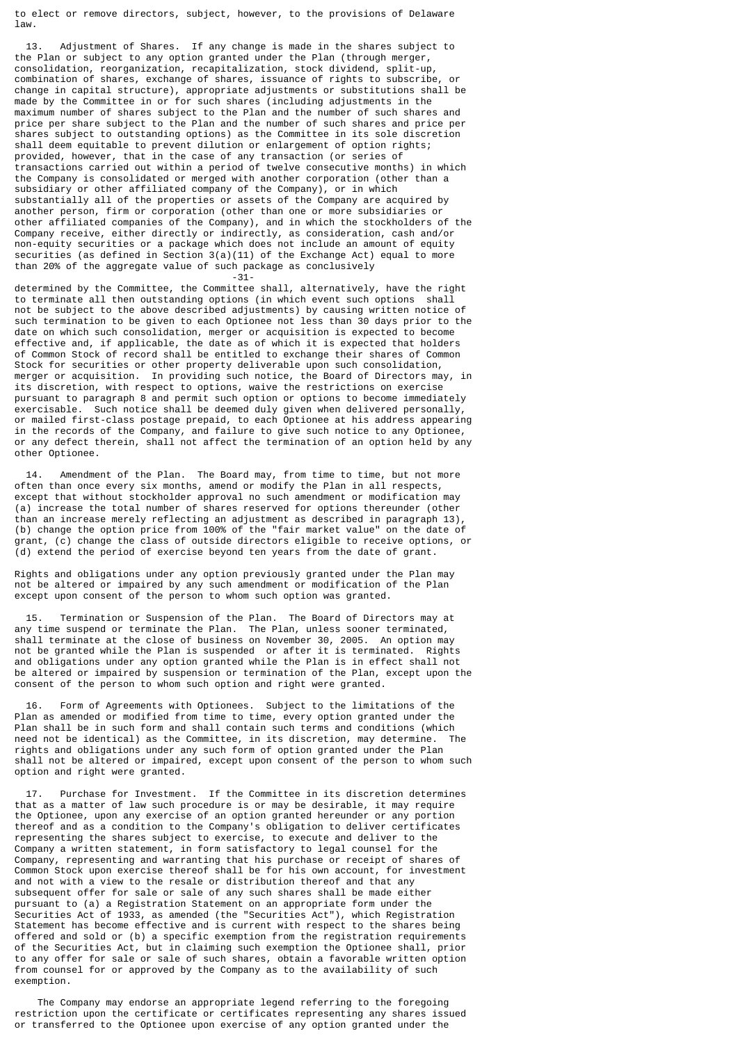to elect or remove directors, subject, however, to the provisions of Delaware law.

 13. Adjustment of Shares. If any change is made in the shares subject to the Plan or subject to any option granted under the Plan (through merger, consolidation, reorganization, recapitalization, stock dividend, split-up, combination of shares, exchange of shares, issuance of rights to subscribe, or change in capital structure), appropriate adjustments or substitutions shall be made by the Committee in or for such shares (including adjustments in the maximum number of shares subject to the Plan and the number of such shares and price per share subject to the Plan and the number of such shares and price per shares subject to outstanding options) as the Committee in its sole discretion shall deem equitable to prevent dilution or enlargement of option rights; provided, however, that in the case of any transaction (or series of transactions carried out within a period of twelve consecutive months) in which the Company is consolidated or merged with another corporation (other than a subsidiary or other affiliated company of the Company), or in which substantially all of the properties or assets of the Company are acquired by another person, firm or corporation (other than one or more subsidiaries or other affiliated companies of the Company), and in which the stockholders of the Company receive, either directly or indirectly, as consideration, cash and/or non-equity securities or a package which does not include an amount of equity securities (as defined in Section 3(a)(11) of the Exchange Act) equal to more than 20% of the aggregate value of such package as conclusively<br>-31--31-

determined by the Committee, the Committee shall, alternatively, have the right to terminate all then outstanding options (in which event such options shall not be subject to the above described adjustments) by causing written notice of such termination to be given to each Optionee not less than 30 days prior to the date on which such consolidation, merger or acquisition is expected to become effective and, if applicable, the date as of which it is expected that holders of Common Stock of record shall be entitled to exchange their shares of Common Stock for securities or other property deliverable upon such consolidation, merger or acquisition. In providing such notice, the Board of Directors may, in its discretion, with respect to options, waive the restrictions on exercise pursuant to paragraph 8 and permit such option or options to become immediately exercisable. Such notice shall be deemed duly given when delivered personally, or mailed first-class postage prepaid, to each Optionee at his address appearing in the records of the Company, and failure to give such notice to any Optionee, or any defect therein, shall not affect the termination of an option held by any other Optionee.

 14. Amendment of the Plan. The Board may, from time to time, but not more often than once every six months, amend or modify the Plan in all respects, except that without stockholder approval no such amendment or modification may (a) increase the total number of shares reserved for options thereunder (other than an increase merely reflecting an adjustment as described in paragraph 13), (b) change the option price from 100% of the "fair market value" on the date of grant, (c) change the class of outside directors eligible to receive options, or (d) extend the period of exercise beyond ten years from the date of grant.

Rights and obligations under any option previously granted under the Plan may not be altered or impaired by any such amendment or modification of the Plan except upon consent of the person to whom such option was granted.

 15. Termination or Suspension of the Plan. The Board of Directors may at any time suspend or terminate the Plan. The Plan, unless sooner terminated, shall terminate at the close of business on November 30, 2005. An option may not be granted while the Plan is suspended or after it is terminated. Rights and obligations under any option granted while the Plan is in effect shall not be altered or impaired by suspension or termination of the Plan, except upon the consent of the person to whom such option and right were granted.

Form of Agreements with Optionees. Subject to the limitations of the Plan as amended or modified from time to time, every option granted under the Plan shall be in such form and shall contain such terms and conditions (which need not be identical) as the Committee, in its discretion, may determine. The rights and obligations under any such form of option granted under the Plan shall not be altered or impaired, except upon consent of the person to whom such option and right were granted.

 17. Purchase for Investment. If the Committee in its discretion determines that as a matter of law such procedure is or may be desirable, it may require the Optionee, upon any exercise of an option granted hereunder or any portion thereof and as a condition to the Company's obligation to deliver certificates representing the shares subject to exercise, to execute and deliver to the Company a written statement, in form satisfactory to legal counsel for the Company, representing and warranting that his purchase or receipt of shares of Common Stock upon exercise thereof shall be for his own account, for investment and not with a view to the resale or distribution thereof and that any subsequent offer for sale or sale of any such shares shall be made either pursuant to (a) a Registration Statement on an appropriate form under the Securities Act of 1933, as amended (the "Securities Act"), which Registration Statement has become effective and is current with respect to the shares being offered and sold or (b) a specific exemption from the registration requirements of the Securities Act, but in claiming such exemption the Optionee shall, prior to any offer for sale or sale of such shares, obtain a favorable written option from counsel for or approved by the Company as to the availability of such exemption.

 The Company may endorse an appropriate legend referring to the foregoing restriction upon the certificate or certificates representing any shares issued or transferred to the Optionee upon exercise of any option granted under the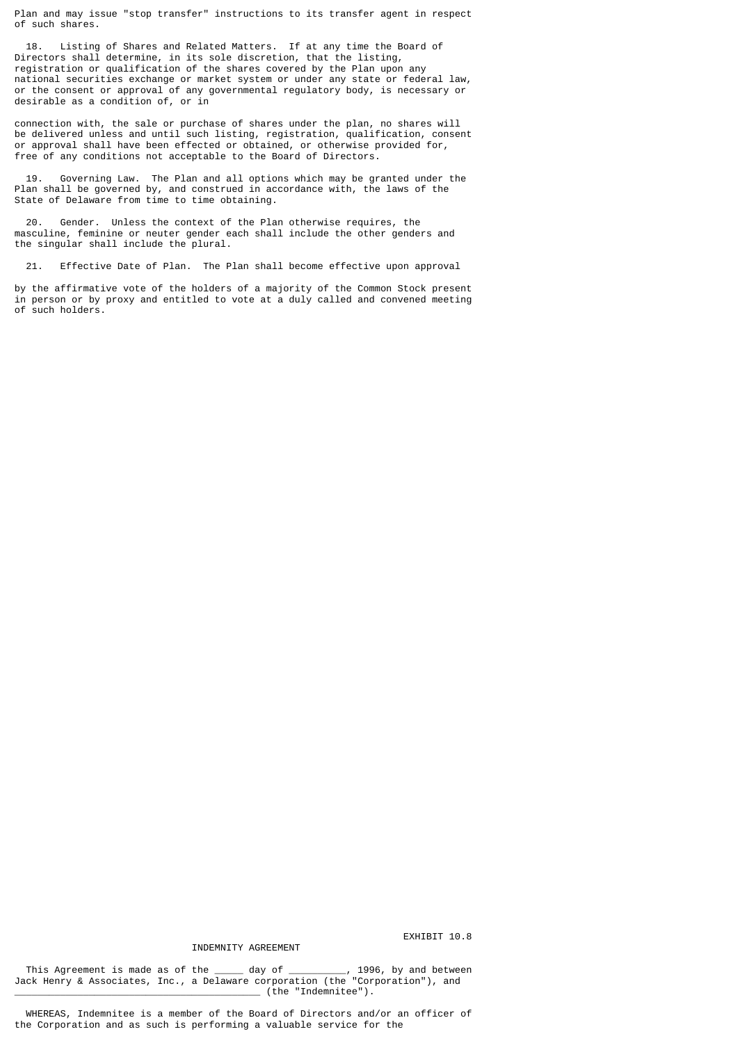Plan and may issue "stop transfer" instructions to its transfer agent in respect of such shares.

 18. Listing of Shares and Related Matters. If at any time the Board of Directors shall determine, in its sole discretion, that the listing, registration or qualification of the shares covered by the Plan upon any national securities exchange or market system or under any state or federal law, or the consent or approval of any governmental regulatory body, is necessary or desirable as a condition of, or in

connection with, the sale or purchase of shares under the plan, no shares will be delivered unless and until such listing, registration, qualification, consent or approval shall have been effected or obtained, or otherwise provided for, free of any conditions not acceptable to the Board of Directors.

 19. Governing Law. The Plan and all options which may be granted under the Plan shall be governed by, and construed in accordance with, the laws of the State of Delaware from time to time obtaining.

 20. Gender. Unless the context of the Plan otherwise requires, the masculine, feminine or neuter gender each shall include the other genders and the singular shall include the plural.

21. Effective Date of Plan. The Plan shall become effective upon approval

by the affirmative vote of the holders of a majority of the Common Stock present in person or by proxy and entitled to vote at a duly called and convened meeting of such holders.

INDEMNITY AGREEMENT

 This Agreement is made as of the \_\_\_\_\_ day of \_\_\_\_\_\_\_\_\_\_, 1996, by and between Jack Henry & Associates, Inc., a Delaware corporation (the "Corporation"), and  $($ the "Indemnitee").

 WHEREAS, Indemnitee is a member of the Board of Directors and/or an officer of the Corporation and as such is performing a valuable service for the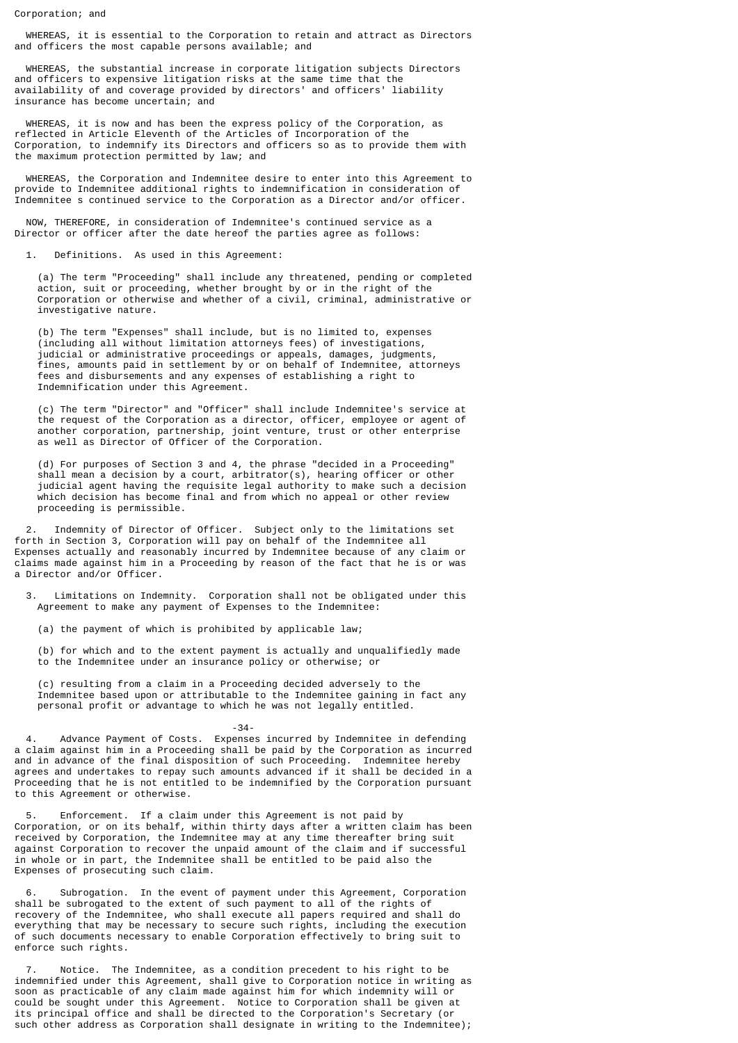WHEREAS, it is essential to the Corporation to retain and attract as Directors and officers the most capable persons available; and

 WHEREAS, the substantial increase in corporate litigation subjects Directors and officers to expensive litigation risks at the same time that the availability of and coverage provided by directors' and officers' liability insurance has become uncertain; and

 WHEREAS, it is now and has been the express policy of the Corporation, as reflected in Article Eleventh of the Articles of Incorporation of the Corporation, to indemnify its Directors and officers so as to provide them with the maximum protection permitted by law; and

 WHEREAS, the Corporation and Indemnitee desire to enter into this Agreement to provide to Indemnitee additional rights to indemnification in consideration of Indemnitee s continued service to the Corporation as a Director and/or officer.

 NOW, THEREFORE, in consideration of Indemnitee's continued service as a Director or officer after the date hereof the parties agree as follows:

1. Definitions. As used in this Agreement:

 (a) The term "Proceeding" shall include any threatened, pending or completed action, suit or proceeding, whether brought by or in the right of the Corporation or otherwise and whether of a civil, criminal, administrative or investigative nature.

 (b) The term "Expenses" shall include, but is no limited to, expenses (including all without limitation attorneys fees) of investigations, judicial or administrative proceedings or appeals, damages, judgments, fines, amounts paid in settlement by or on behalf of Indemnitee, attorneys fees and disbursements and any expenses of establishing a right to Indemnification under this Agreement.

 (c) The term "Director" and "Officer" shall include Indemnitee's service at the request of the Corporation as a director, officer, employee or agent of another corporation, partnership, joint venture, trust or other enterprise as well as Director of Officer of the Corporation.

 (d) For purposes of Section 3 and 4, the phrase "decided in a Proceeding" shall mean a decision by a court, arbitrator(s), hearing officer or other judicial agent having the requisite legal authority to make such a decision which decision has become final and from which no appeal or other review proceeding is permissible.

 2. Indemnity of Director of Officer. Subject only to the limitations set forth in Section 3, Corporation will pay on behalf of the Indemnitee all Expenses actually and reasonably incurred by Indemnitee because of any claim or claims made against him in a Proceeding by reason of the fact that he is or was a Director and/or Officer.

 3. Limitations on Indemnity. Corporation shall not be obligated under this Agreement to make any payment of Expenses to the Indemnitee:

(a) the payment of which is prohibited by applicable law;

 (b) for which and to the extent payment is actually and unqualifiedly made to the Indemnitee under an insurance policy or otherwise; or

 (c) resulting from a claim in a Proceeding decided adversely to the Indemnitee based upon or attributable to the Indemnitee gaining in fact any personal profit or advantage to which he was not legally entitled.

-34-

 4. Advance Payment of Costs. Expenses incurred by Indemnitee in defending a claim against him in a Proceeding shall be paid by the Corporation as incurred and in advance of the final disposition of such Proceeding. Indemnitee hereby agrees and undertakes to repay such amounts advanced if it shall be decided in a Proceeding that he is not entitled to be indemnified by the Corporation pursuant to this Agreement or otherwise.

 5. Enforcement. If a claim under this Agreement is not paid by Corporation, or on its behalf, within thirty days after a written claim has been received by Corporation, the Indemnitee may at any time thereafter bring suit against Corporation to recover the unpaid amount of the claim and if successful in whole or in part, the Indemnitee shall be entitled to be paid also the Expenses of prosecuting such claim.

 6. Subrogation. In the event of payment under this Agreement, Corporation shall be subrogated to the extent of such payment to all of the rights of recovery of the Indemnitee, who shall execute all papers required and shall do everything that may be necessary to secure such rights, including the execution of such documents necessary to enable Corporation effectively to bring suit to enforce such rights.

Notice. The Indemnitee, as a condition precedent to his right to be indemnified under this Agreement, shall give to Corporation notice in writing as soon as practicable of any claim made against him for which indemnity will or could be sought under this Agreement. Notice to Corporation shall be given at its principal office and shall be directed to the Corporation's Secretary (or such other address as Corporation shall designate in writing to the Indemnitee);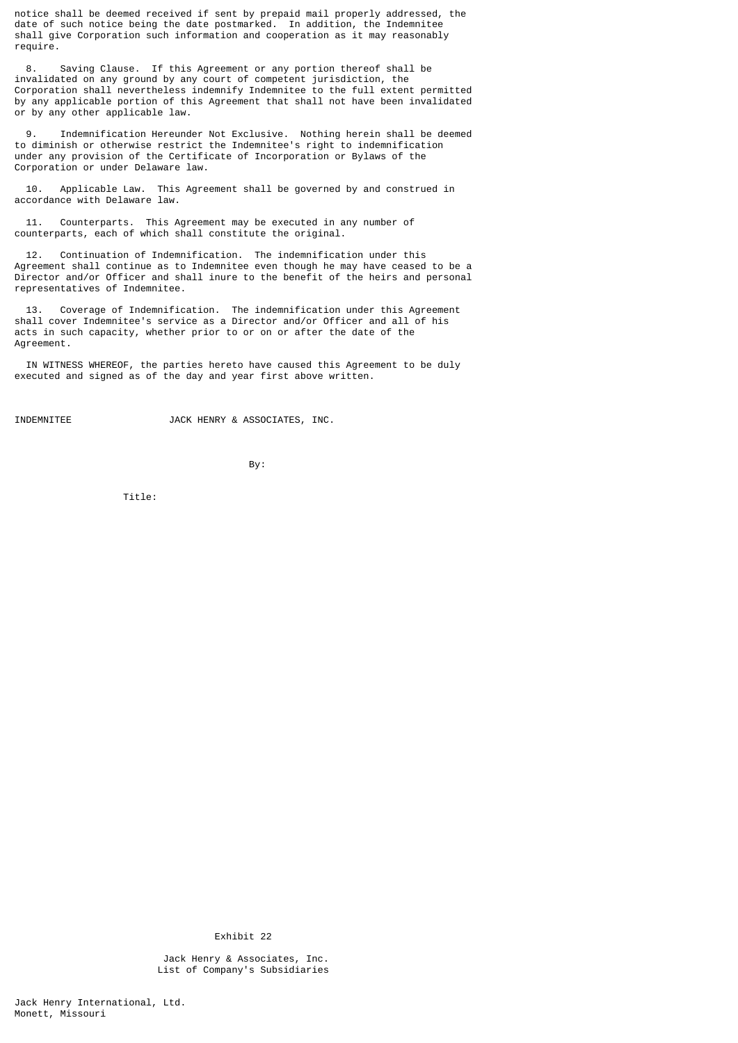notice shall be deemed received if sent by prepaid mail properly addressed, the date of such notice being the date postmarked. In addition, the Indemnitee shall give Corporation such information and cooperation as it may reasonably require.

 8. Saving Clause. If this Agreement or any portion thereof shall be invalidated on any ground by any court of competent jurisdiction, the Corporation shall nevertheless indemnify Indemnitee to the full extent permitted by any applicable portion of this Agreement that shall not have been invalidated or by any other applicable law.

 9. Indemnification Hereunder Not Exclusive. Nothing herein shall be deemed to diminish or otherwise restrict the Indemnitee's right to indemnification under any provision of the Certificate of Incorporation or Bylaws of the Corporation or under Delaware law.

 10. Applicable Law. This Agreement shall be governed by and construed in accordance with Delaware law.

 11. Counterparts. This Agreement may be executed in any number of counterparts, each of which shall constitute the original.

 12. Continuation of Indemnification. The indemnification under this Agreement shall continue as to Indemnitee even though he may have ceased to be a Director and/or Officer and shall inure to the benefit of the heirs and personal representatives of Indemnitee.

Coverage of Indemnification. The indemnification under this Agreement shall cover Indemnitee's service as a Director and/or Officer and all of his acts in such capacity, whether prior to or on or after the date of the Agreement.

 IN WITNESS WHEREOF, the parties hereto have caused this Agreement to be duly executed and signed as of the day and year first above written.

INDEMNITEE JACK HENRY & ASSOCIATES, INC.

By:

Title:

Exhibit 22

 Jack Henry & Associates, Inc. List of Company's Subsidiaries